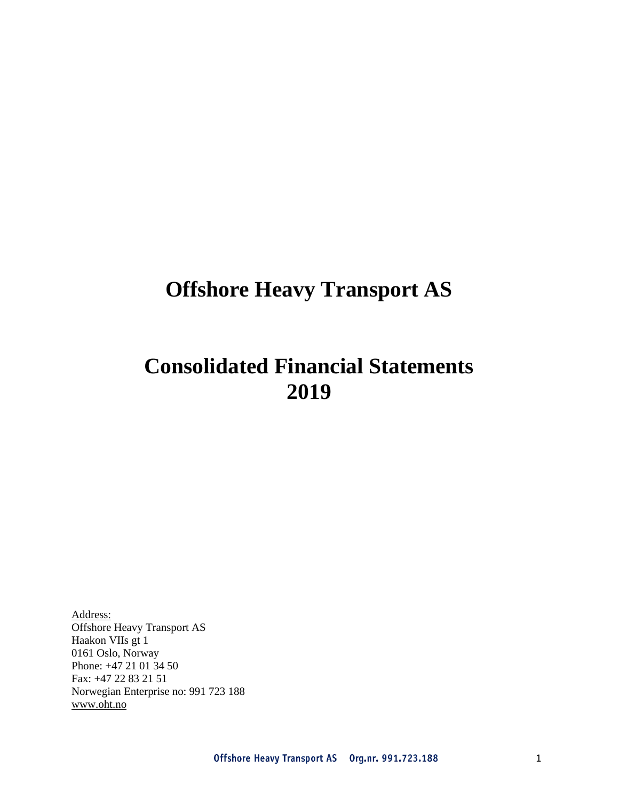# **Offshore Heavy Transport AS**

# **Consolidated Financial Statements 2019**

Address: Offshore Heavy Transport AS Haakon VIIs gt 1 0161 Oslo, Norway Phone: +47 21 01 34 50 Fax: +47 22 83 21 51 Norwegian Enterprise no: 991 723 188 [www.oht.no](http://www.oht.no/)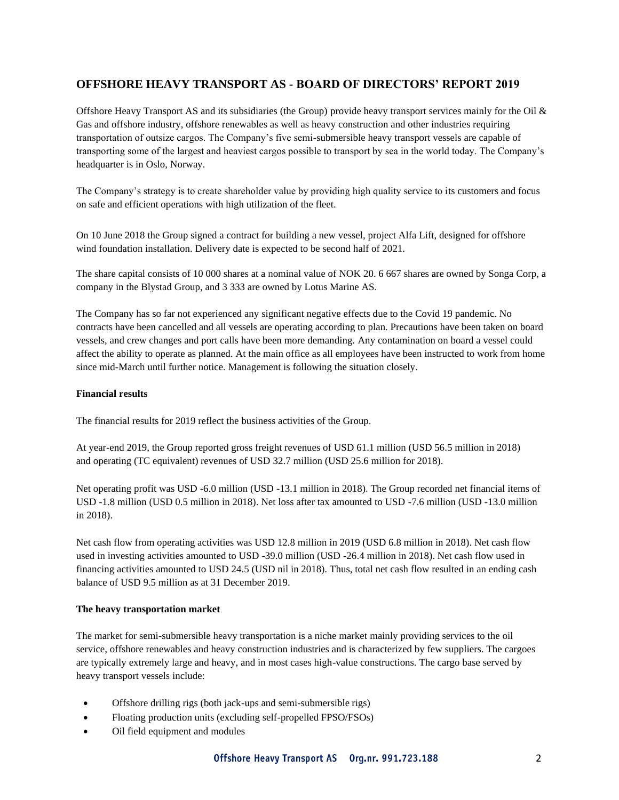### **OFFSHORE HEAVY TRANSPORT AS - BOARD OF DIRECTORS' REPORT 2019**

Offshore Heavy Transport AS and its subsidiaries (the Group) provide heavy transport services mainly for the Oil & Gas and offshore industry, offshore renewables as well as heavy construction and other industries requiring transportation of outsize cargos. The Company's five semi-submersible heavy transport vessels are capable of transporting some of the largest and heaviest cargos possible to transport by sea in the world today. The Company's headquarter is in Oslo, Norway.

The Company's strategy is to create shareholder value by providing high quality service to its customers and focus on safe and efficient operations with high utilization of the fleet.

On 10 June 2018 the Group signed a contract for building a new vessel, project Alfa Lift, designed for offshore wind foundation installation. Delivery date is expected to be second half of 2021.

The share capital consists of 10 000 shares at a nominal value of NOK 20. 6 667 shares are owned by Songa Corp, a company in the Blystad Group, and 3 333 are owned by Lotus Marine AS.

The Company has so far not experienced any significant negative effects due to the Covid 19 pandemic. No contracts have been cancelled and all vessels are operating according to plan. Precautions have been taken on board vessels, and crew changes and port calls have been more demanding. Any contamination on board a vessel could affect the ability to operate as planned. At the main office as all employees have been instructed to work from home since mid-March until further notice. Management is following the situation closely.

#### **Financial results**

The financial results for 2019 reflect the business activities of the Group.

At year-end 2019, the Group reported gross freight revenues of USD 61.1 million (USD 56.5 million in 2018) and operating (TC equivalent) revenues of USD 32.7 million (USD 25.6 million for 2018).

Net operating profit was USD -6.0 million (USD -13.1 million in 2018). The Group recorded net financial items of USD -1.8 million (USD 0.5 million in 2018). Net loss after tax amounted to USD -7.6 million (USD -13.0 million in 2018).

Net cash flow from operating activities was USD 12.8 million in 2019 (USD 6.8 million in 2018). Net cash flow used in investing activities amounted to USD -39.0 million (USD -26.4 million in 2018). Net cash flow used in financing activities amounted to USD 24.5 (USD nil in 2018). Thus, total net cash flow resulted in an ending cash balance of USD 9.5 million as at 31 December 2019.

#### **The heavy transportation market**

The market for semi-submersible heavy transportation is a niche market mainly providing services to the oil service, offshore renewables and heavy construction industries and is characterized by few suppliers. The cargoes are typically extremely large and heavy, and in most cases high-value constructions. The cargo base served by heavy transport vessels include:

- Offshore drilling rigs (both jack-ups and semi-submersible rigs)
- Floating production units (excluding self-propelled FPSO/FSOs)
- Oil field equipment and modules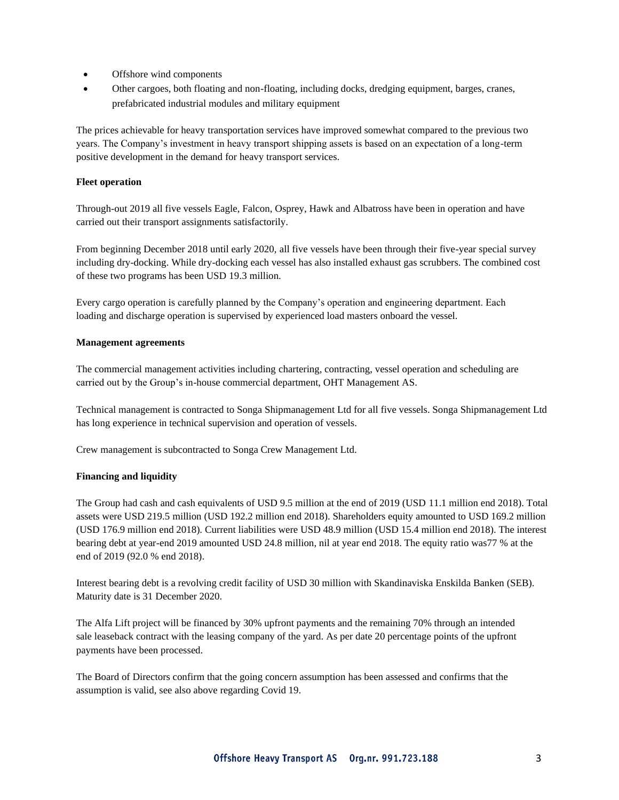- Offshore wind components
- Other cargoes, both floating and non-floating, including docks, dredging equipment, barges, cranes, prefabricated industrial modules and military equipment

The prices achievable for heavy transportation services have improved somewhat compared to the previous two years. The Company's investment in heavy transport shipping assets is based on an expectation of a long-term positive development in the demand for heavy transport services.

#### **Fleet operation**

Through-out 2019 all five vessels Eagle, Falcon, Osprey, Hawk and Albatross have been in operation and have carried out their transport assignments satisfactorily.

From beginning December 2018 until early 2020, all five vessels have been through their five-year special survey including dry-docking. While dry-docking each vessel has also installed exhaust gas scrubbers. The combined cost of these two programs has been USD 19.3 million.

Every cargo operation is carefully planned by the Company's operation and engineering department. Each loading and discharge operation is supervised by experienced load masters onboard the vessel.

#### **Management agreements**

The commercial management activities including chartering, contracting, vessel operation and scheduling are carried out by the Group's in-house commercial department, OHT Management AS.

Technical management is contracted to Songa Shipmanagement Ltd for all five vessels. Songa Shipmanagement Ltd has long experience in technical supervision and operation of vessels.

Crew management is subcontracted to Songa Crew Management Ltd.

#### **Financing and liquidity**

The Group had cash and cash equivalents of USD 9.5 million at the end of 2019 (USD 11.1 million end 2018). Total assets were USD 219.5 million (USD 192.2 million end 2018). Shareholders equity amounted to USD 169.2 million (USD 176.9 million end 2018). Current liabilities were USD 48.9 million (USD 15.4 million end 2018). The interest bearing debt at year-end 2019 amounted USD 24.8 million, nil at year end 2018. The equity ratio was77 % at the end of 2019 (92.0 % end 2018).

Interest bearing debt is a revolving credit facility of USD 30 million with Skandinaviska Enskilda Banken (SEB). Maturity date is 31 December 2020.

The Alfa Lift project will be financed by 30% upfront payments and the remaining 70% through an intended sale leaseback contract with the leasing company of the yard. As per date 20 percentage points of the upfront payments have been processed.

The Board of Directors confirm that the going concern assumption has been assessed and confirms that the assumption is valid, see also above regarding Covid 19.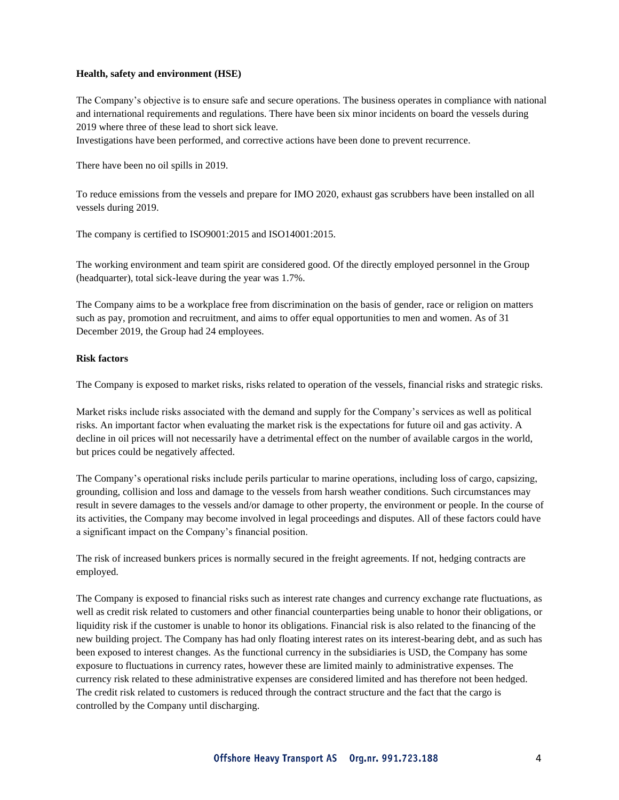#### **Health, safety and environment (HSE)**

The Company's objective is to ensure safe and secure operations. The business operates in compliance with national and international requirements and regulations. There have been six minor incidents on board the vessels during 2019 where three of these lead to short sick leave.

Investigations have been performed, and corrective actions have been done to prevent recurrence.

There have been no oil spills in 2019.

To reduce emissions from the vessels and prepare for IMO 2020, exhaust gas scrubbers have been installed on all vessels during 2019.

The company is certified to ISO9001:2015 and ISO14001:2015.

The working environment and team spirit are considered good. Of the directly employed personnel in the Group (headquarter), total sick-leave during the year was 1.7%.

The Company aims to be a workplace free from discrimination on the basis of gender, race or religion on matters such as pay, promotion and recruitment, and aims to offer equal opportunities to men and women. As of 31 December 2019, the Group had 24 employees.

#### **Risk factors**

The Company is exposed to market risks, risks related to operation of the vessels, financial risks and strategic risks.

Market risks include risks associated with the demand and supply for the Company's services as well as political risks. An important factor when evaluating the market risk is the expectations for future oil and gas activity. A decline in oil prices will not necessarily have a detrimental effect on the number of available cargos in the world, but prices could be negatively affected.

The Company's operational risks include perils particular to marine operations, including loss of cargo, capsizing, grounding, collision and loss and damage to the vessels from harsh weather conditions. Such circumstances may result in severe damages to the vessels and/or damage to other property, the environment or people. In the course of its activities, the Company may become involved in legal proceedings and disputes. All of these factors could have a significant impact on the Company's financial position.

The risk of increased bunkers prices is normally secured in the freight agreements. If not, hedging contracts are employed.

The Company is exposed to financial risks such as interest rate changes and currency exchange rate fluctuations, as well as credit risk related to customers and other financial counterparties being unable to honor their obligations, or liquidity risk if the customer is unable to honor its obligations. Financial risk is also related to the financing of the new building project. The Company has had only floating interest rates on its interest-bearing debt, and as such has been exposed to interest changes. As the functional currency in the subsidiaries is USD, the Company has some exposure to fluctuations in currency rates, however these are limited mainly to administrative expenses. The currency risk related to these administrative expenses are considered limited and has therefore not been hedged. The credit risk related to customers is reduced through the contract structure and the fact that the cargo is controlled by the Company until discharging.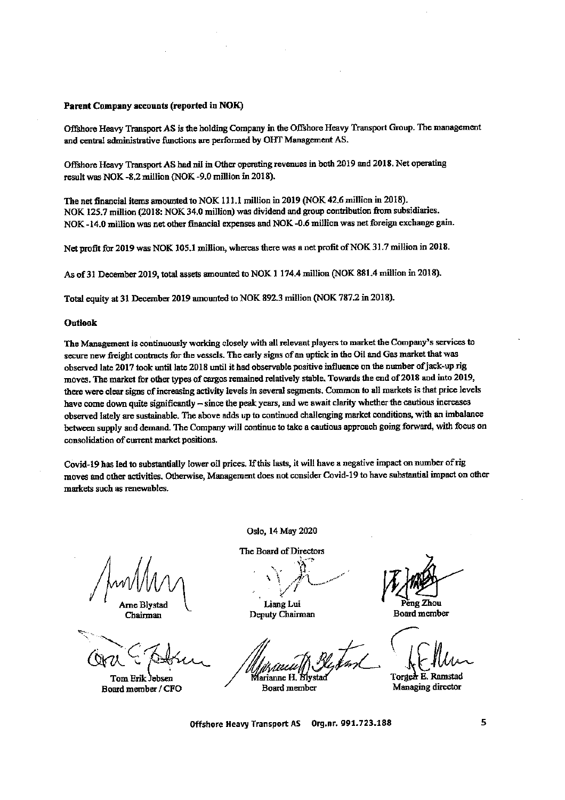#### Parent Company accounts (reported in NOK)

Offshore Heavy Transport AS is the holding Company in the Offshore Heavy Transport Group. The management and central administrative functions are performed by OHT Management AS.

Offshore Heavy Transport AS had nil in Other operating revenues in both 2019 and 2018. Net operating result was NOK -8.2 million (NOK -9.0 million in 2018).

The net financial items amounted to NOK 111.1 million in 2019 (NOK 42.6 million in 2018). NOK 125.7 million (2018: NOK 34.0 million) was dividend and group contribution from subsidiaries. NOK-14.0 million was net other financial expenses and NOK-0.6 million was net foreign exchange gain.

Net profit for 2019 was NOK 105.1 million, whereas there was a net profit of NOK 31.7 million in 2018.

As of 31 December 2019, total assets amounted to NOK 1 174.4 million (NOK 881.4 million in 2018).

Total equity at 31 December 2019 amounted to NOK 892.3 million (NOK 787.2 in 2018).

#### **Outlook**

The Management is continuously working closely with all relevant players to market the Company's services to secure new freight contracts for the vessels. The early signs of an uptick in the Oil and Gas market that was observed late 2017 took until late 2018 until it had observable positive influence on the number of jack-up rig moves. The market for other types of cargos remained relatively stable. Towards the end of 2018 and into 2019, there were clear signs of increasing activity levels in several segments. Common to all markets is that price levels have come down quite significantly - since the peak years, and we await clarity whether the cautious increases observed lately are sustainable. The above adds up to continued challenging market conditions, with an imbalance between supply and demand. The Company will continue to take a cautious approach going forward, with focus on consolidation of current market positions.

Covid-19 has led to substantially lower oil prices. If this lasts, it will have a negative impact on number of rig moves and other activities. Otherwise, Management does not consider Covid-19 to have substantial impact on other markets such as renewables.

rne Blystad Chairman

Tom Erik Jebsen Board member / CFO

Oslo, 14 May 2020

The Board of Directors

Liang Lui Deputy Chairman

arianne H. B

Board member

èng Zhou **Board member** 

Torger E. Ramstad Managing director

Offshore Heavy Transport AS Org.nr. 991.723.188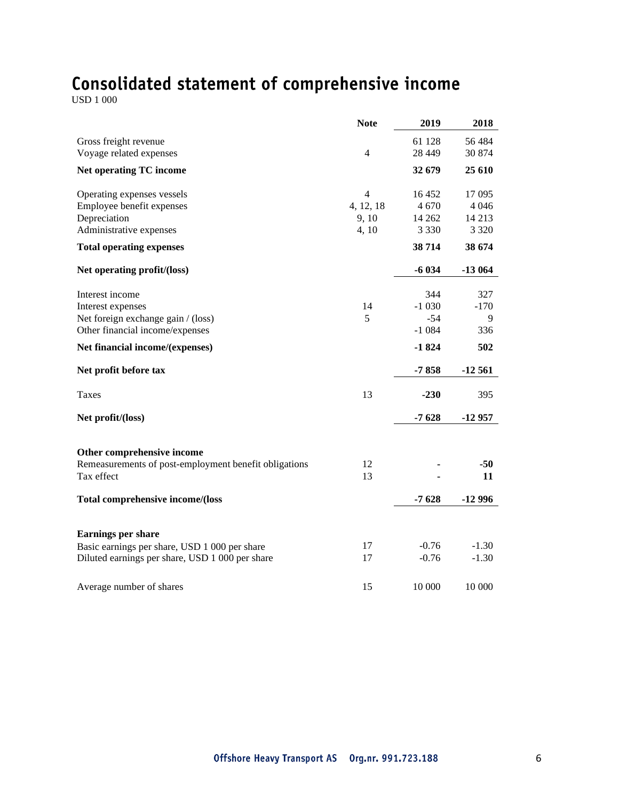# Consolidated statement of comprehensive income  $\text{USD 1 000}$

|                                                       | <b>Note</b>    | 2019     | 2018     |
|-------------------------------------------------------|----------------|----------|----------|
| Gross freight revenue                                 |                | 61 128   | 56 484   |
| Voyage related expenses                               | $\overline{4}$ | 28 4 4 9 | 30 874   |
| <b>Net operating TC income</b>                        |                | 32 679   | 25 610   |
| Operating expenses vessels                            | $\overline{4}$ | 16452    | 17 095   |
| Employee benefit expenses                             | 4, 12, 18      | 4 670    | 4 0 4 6  |
| Depreciation                                          | 9,10           | 14 2 62  | 14 2 13  |
| Administrative expenses                               | 4, 10          | 3 3 3 0  | 3 3 2 0  |
| <b>Total operating expenses</b>                       |                | 38 714   | 38 674   |
| Net operating profit/(loss)                           |                | $-6034$  | $-13064$ |
| Interest income                                       |                | 344      | 327      |
| Interest expenses                                     | 14             | $-1030$  | $-170$   |
| Net foreign exchange gain / (loss)                    | 5              | $-54$    | 9        |
| Other financial income/expenses                       |                | $-1084$  | 336      |
| Net financial income/(expenses)                       |                | $-1824$  | 502      |
| Net profit before tax                                 |                | $-7858$  | $-12561$ |
| Taxes                                                 | 13             | $-230$   | 395      |
| Net profit/(loss)                                     |                | $-7628$  | $-12957$ |
|                                                       |                |          |          |
| Other comprehensive income                            |                |          |          |
| Remeasurements of post-employment benefit obligations | 12             |          | $-50$    |
| Tax effect                                            | 13             |          | 11       |
| Total comprehensive income/(loss                      |                | $-7628$  | $-12996$ |
|                                                       |                |          |          |
| <b>Earnings per share</b>                             |                |          |          |
| Basic earnings per share, USD 1 000 per share         | 17             | $-0.76$  | $-1.30$  |
| Diluted earnings per share, USD 1 000 per share       | 17             | $-0.76$  | $-1.30$  |
| Average number of shares                              | 15             | 10 000   | 10 000   |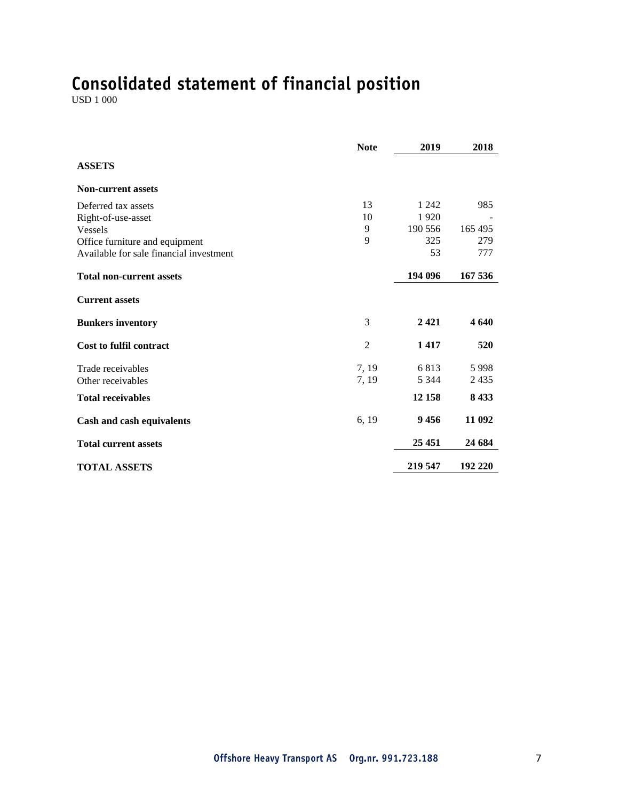# Consolidated statement of financial position  $\text{USD 1 000}$

|                                         | <b>Note</b>    | 2019    | 2018    |
|-----------------------------------------|----------------|---------|---------|
| <b>ASSETS</b>                           |                |         |         |
| <b>Non-current assets</b>               |                |         |         |
| Deferred tax assets                     | 13             | 1 2 4 2 | 985     |
| Right-of-use-asset                      | 10             | 1920    |         |
| <b>Vessels</b>                          | 9              | 190 556 | 165 495 |
| Office furniture and equipment          | 9              | 325     | 279     |
| Available for sale financial investment |                | 53      | 777     |
| <b>Total non-current assets</b>         |                | 194 096 | 167 536 |
| <b>Current assets</b>                   |                |         |         |
| <b>Bunkers inventory</b>                | 3              | 2421    | 4 640   |
| <b>Cost to fulfil contract</b>          | $\overline{2}$ | 1417    | 520     |
| Trade receivables                       | 7, 19          | 6813    | 5998    |
| Other receivables                       | 7, 19          | 5 3 4 4 | 2435    |
| <b>Total receivables</b>                |                | 12 158  | 8 4 3 3 |
| Cash and cash equivalents               | 6, 19          | 9456    | 11 092  |
| <b>Total current assets</b>             |                | 25 451  | 24 684  |
| <b>TOTAL ASSETS</b>                     |                | 219 547 | 192 220 |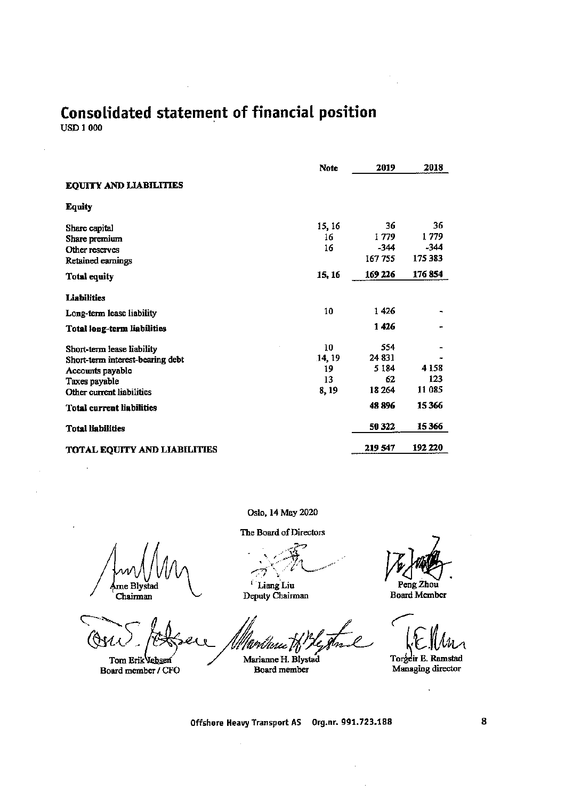# Consolidated statement of financial position

**USD 1 000** 

 $\bar{z}$ 

|                                     | <b>Note</b> | 2019    | 2018    |
|-------------------------------------|-------------|---------|---------|
| <b>EQUITY AND LIABILITIES</b>       |             |         |         |
| <b>Equity</b>                       |             |         |         |
| Share capital                       | 15, 16      | 36      | 36      |
| Share premium                       | 16          | 1779    | 1779    |
| Other reserves                      | 16          | $-344$  | -344    |
| Retained earnings                   |             | 167755  | 175 383 |
| <b>Total equity</b>                 | 15, 16      | 169 226 | 176854  |
| <b>Liabilities</b>                  |             |         |         |
| Long-term lease liability           | 10          | 1426    |         |
| <b>Total long-term liabilities</b>  |             | 1426    |         |
| Short-term lease liability          | 10          | 554     |         |
| Short-term interest-bearing debt    | 14, 19      | 24 831  |         |
| Accounts payable                    | 19          | 5 1 8 4 | 4 1 5 8 |
| Taxes payable                       | 13          | 62      | 123     |
| Other current liabilities           | 8, 19       | 18 2 64 | 11 085  |
| <b>Total current liabilities</b>    |             | 48 896  | 15366   |
| <b>Total liabilities</b>            |             | 50 322  | 15366   |
| <b>TOTAL EQUITY AND LIABILITIES</b> |             | 219 547 | 192 220 |

Oslo, 14 May 2020

Ame Blystad

Chairman

Tom Erik Vebsen Board member / CFO

The Board of Directors

وسيبر <sup>1</sup> Liang Liu<br>Deputy Chairman

Marianne H. Blystad

Board member

 $\hat{\mathcal{A}}$ 

Peng Zhou

**Board Member** 

Torgeir E. Ramstad Managing director

l,

Offshore Heavy Transport AS Org.nr. 991.723.188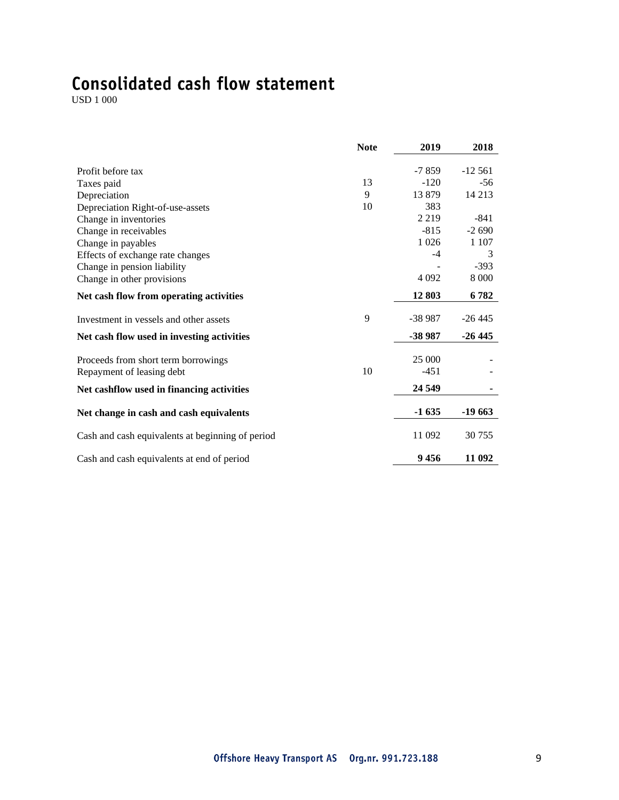# Consolidated cash flow statement

USD 1 000

|                                                  | <b>Note</b> | 2019     | 2018      |
|--------------------------------------------------|-------------|----------|-----------|
|                                                  |             |          |           |
| Profit before tax                                |             | $-7859$  | $-12,561$ |
| Taxes paid                                       | 13          | $-120$   | $-56$     |
| Depreciation                                     | 9           | 13879    | 14 213    |
| Depreciation Right-of-use-assets                 | 10          | 383      |           |
| Change in inventories                            |             | 2 2 1 9  | $-841$    |
| Change in receivables                            |             | $-815$   | $-2690$   |
| Change in payables                               |             | 1 0 2 6  | 1 1 0 7   |
| Effects of exchange rate changes                 |             | $-4$     | 3         |
| Change in pension liability                      |             |          | $-393$    |
| Change in other provisions                       |             | 4 0 9 2  | 8 0 0 0   |
| Net cash flow from operating activities          |             | 12 803   | 6782      |
| Investment in vessels and other assets           | 9           | $-38987$ | $-26445$  |
| Net cash flow used in investing activities       |             | -38 987  | $-26445$  |
| Proceeds from short term borrowings              |             | 25 000   |           |
| Repayment of leasing debt                        | 10          | $-451$   |           |
| Net cashflow used in financing activities        |             | 24 5 49  |           |
| Net change in cash and cash equivalents          |             | $-1635$  | $-19663$  |
| Cash and cash equivalents at beginning of period |             | 11 092   | 30 755    |
| Cash and cash equivalents at end of period       |             | 9456     | 11 092    |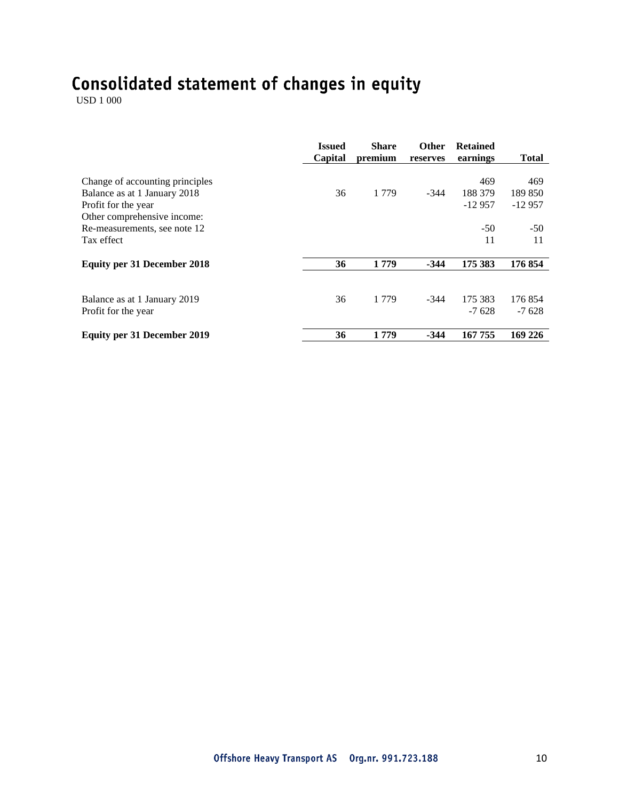# Consolidated statement of changes in equity  $\frac{\text{USD 1 000}}{}$

|                                                                                        | <b>Issued</b><br>Capital | <b>Share</b><br>premium | <b>Other</b><br>reserves | <b>Retained</b><br>earnings | <b>Total</b>               |
|----------------------------------------------------------------------------------------|--------------------------|-------------------------|--------------------------|-----------------------------|----------------------------|
| Change of accounting principles<br>Balance as at 1 January 2018<br>Profit for the year | 36                       | 1 7 7 9                 | $-344$                   | 469<br>188 379<br>$-12957$  | 469<br>189 850<br>$-12957$ |
| Other comprehensive income:<br>Re-measurements, see note 12<br>Tax effect              |                          |                         |                          | $-50$<br>11                 | $-50$<br>11                |
| <b>Equity per 31 December 2018</b>                                                     | 36                       | 1779                    | $-344$                   | 175 383                     | 176 854                    |
| Balance as at 1 January 2019<br>Profit for the year                                    | 36                       | 1 7 7 9                 | $-344$                   | 175 383<br>$-7628$          | 176854<br>$-7628$          |
| <b>Equity per 31 December 2019</b>                                                     | 36                       | 1779                    | $-344$                   | 167 755                     | 169 226                    |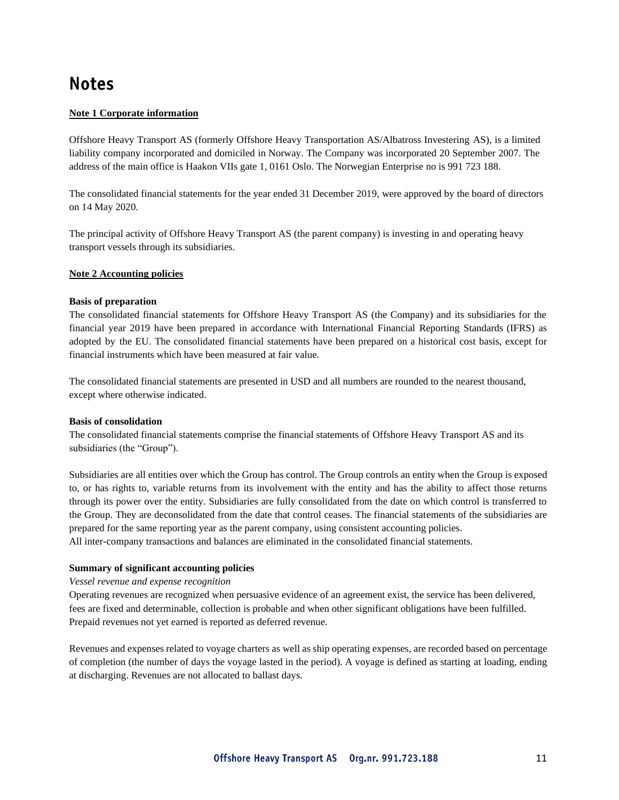## **Notes**

#### **Note 1 Corporate information**

Offshore Heavy Transport AS (formerly Offshore Heavy Transportation AS/Albatross Investering AS), is a limited liability company incorporated and domiciled in Norway. The Company was incorporated 20 September 2007. The address of the main office is Haakon VIIs gate 1, 0161 Oslo. The Norwegian Enterprise no is 991 723 188.

The consolidated financial statements for the year ended 31 December 2019, were approved by the board of directors on 14 May 2020.

The principal activity of Offshore Heavy Transport AS (the parent company) is investing in and operating heavy transport vessels through its subsidiaries.

#### **Note 2 Accounting policies**

#### **Basis of preparation**

The consolidated financial statements for Offshore Heavy Transport AS (the Company) and its subsidiaries for the financial year 2019 have been prepared in accordance with International Financial Reporting Standards (IFRS) as adopted by the EU. The consolidated financial statements have been prepared on a historical cost basis, except for financial instruments which have been measured at fair value.

The consolidated financial statements are presented in USD and all numbers are rounded to the nearest thousand, except where otherwise indicated.

#### **Basis of consolidation**

The consolidated financial statements comprise the financial statements of Offshore Heavy Transport AS and its subsidiaries (the "Group").

Subsidiaries are all entities over which the Group has control. The Group controls an entity when the Group is exposed to, or has rights to, variable returns from its involvement with the entity and has the ability to affect those returns through its power over the entity. Subsidiaries are fully consolidated from the date on which control is transferred to the Group. They are deconsolidated from the date that control ceases. The financial statements of the subsidiaries are prepared for the same reporting year as the parent company, using consistent accounting policies. All inter-company transactions and balances are eliminated in the consolidated financial statements.

#### **Summary of significant accounting policies**

*Vessel revenue and expense recognition*

Operating revenues are recognized when persuasive evidence of an agreement exist, the service has been delivered, fees are fixed and determinable, collection is probable and when other significant obligations have been fulfilled. Prepaid revenues not yet earned is reported as deferred revenue.

Revenues and expenses related to voyage charters as well as ship operating expenses, are recorded based on percentage of completion (the number of days the voyage lasted in the period). A voyage is defined as starting at loading, ending at discharging. Revenues are not allocated to ballast days.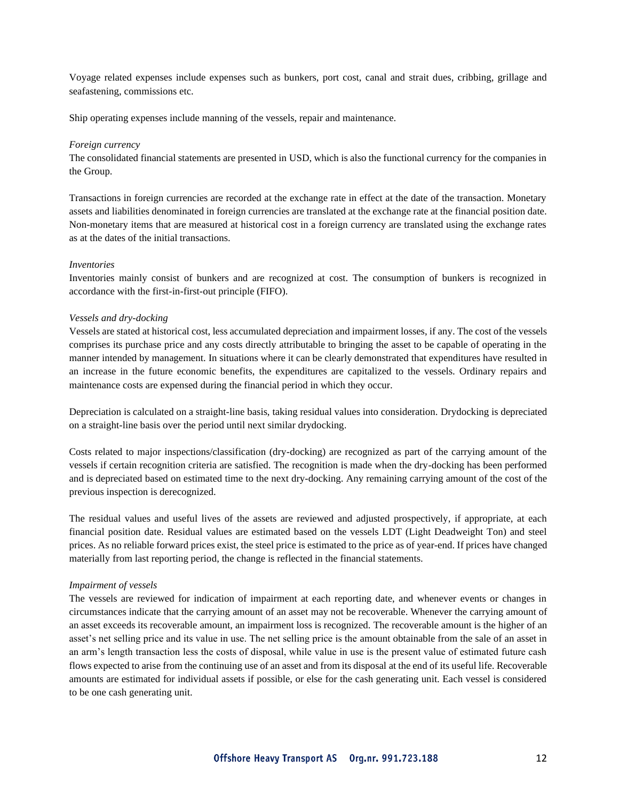Voyage related expenses include expenses such as bunkers, port cost, canal and strait dues, cribbing, grillage and seafastening, commissions etc.

Ship operating expenses include manning of the vessels, repair and maintenance.

#### *Foreign currency*

The consolidated financial statements are presented in USD, which is also the functional currency for the companies in the Group.

Transactions in foreign currencies are recorded at the exchange rate in effect at the date of the transaction. Monetary assets and liabilities denominated in foreign currencies are translated at the exchange rate at the financial position date. Non-monetary items that are measured at historical cost in a foreign currency are translated using the exchange rates as at the dates of the initial transactions.

#### *Inventories*

Inventories mainly consist of bunkers and are recognized at cost. The consumption of bunkers is recognized in accordance with the first-in-first-out principle (FIFO).

#### *Vessels and dry-docking*

Vessels are stated at historical cost, less accumulated depreciation and impairment losses, if any. The cost of the vessels comprises its purchase price and any costs directly attributable to bringing the asset to be capable of operating in the manner intended by management. In situations where it can be clearly demonstrated that expenditures have resulted in an increase in the future economic benefits, the expenditures are capitalized to the vessels. Ordinary repairs and maintenance costs are expensed during the financial period in which they occur.

Depreciation is calculated on a straight-line basis, taking residual values into consideration. Drydocking is depreciated on a straight-line basis over the period until next similar drydocking.

Costs related to major inspections/classification (dry-docking) are recognized as part of the carrying amount of the vessels if certain recognition criteria are satisfied. The recognition is made when the dry-docking has been performed and is depreciated based on estimated time to the next dry-docking. Any remaining carrying amount of the cost of the previous inspection is derecognized.

The residual values and useful lives of the assets are reviewed and adjusted prospectively, if appropriate, at each financial position date. Residual values are estimated based on the vessels LDT (Light Deadweight Ton) and steel prices. As no reliable forward prices exist, the steel price is estimated to the price as of year-end. If prices have changed materially from last reporting period, the change is reflected in the financial statements.

#### *Impairment of vessels*

The vessels are reviewed for indication of impairment at each reporting date, and whenever events or changes in circumstances indicate that the carrying amount of an asset may not be recoverable. Whenever the carrying amount of an asset exceeds its recoverable amount, an impairment loss is recognized. The recoverable amount is the higher of an asset's net selling price and its value in use. The net selling price is the amount obtainable from the sale of an asset in an arm's length transaction less the costs of disposal, while value in use is the present value of estimated future cash flows expected to arise from the continuing use of an asset and from its disposal at the end of its useful life. Recoverable amounts are estimated for individual assets if possible, or else for the cash generating unit. Each vessel is considered to be one cash generating unit.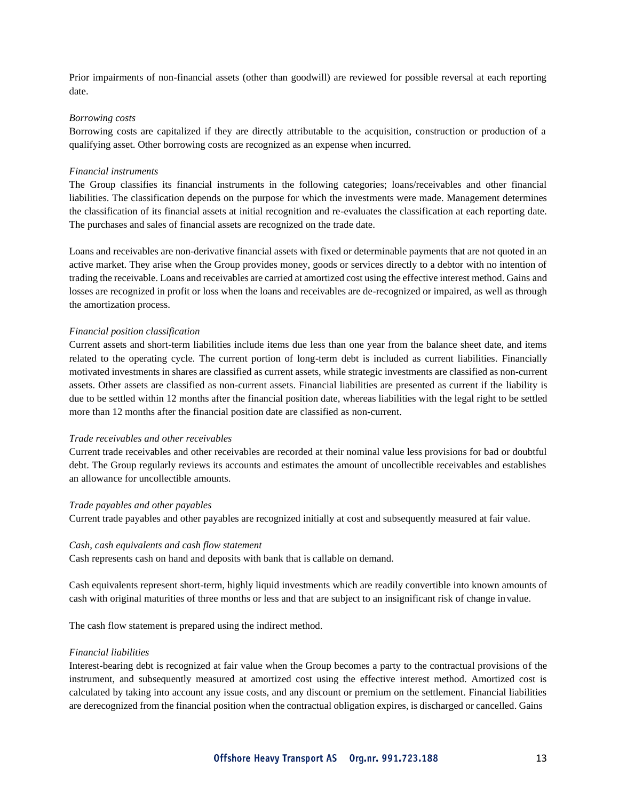Prior impairments of non-financial assets (other than goodwill) are reviewed for possible reversal at each reporting date.

#### *Borrowing costs*

Borrowing costs are capitalized if they are directly attributable to the acquisition, construction or production of a qualifying asset. Other borrowing costs are recognized as an expense when incurred.

#### *Financial instruments*

The Group classifies its financial instruments in the following categories; loans/receivables and other financial liabilities. The classification depends on the purpose for which the investments were made. Management determines the classification of its financial assets at initial recognition and re-evaluates the classification at each reporting date. The purchases and sales of financial assets are recognized on the trade date.

Loans and receivables are non-derivative financial assets with fixed or determinable payments that are not quoted in an active market. They arise when the Group provides money, goods or services directly to a debtor with no intention of trading the receivable. Loans and receivables are carried at amortized cost using the effective interest method. Gains and losses are recognized in profit or loss when the loans and receivables are de-recognized or impaired, as well as through the amortization process.

#### *Financial position classification*

Current assets and short-term liabilities include items due less than one year from the balance sheet date, and items related to the operating cycle. The current portion of long-term debt is included as current liabilities. Financially motivated investments in shares are classified as current assets, while strategic investments are classified as non-current assets. Other assets are classified as non-current assets. Financial liabilities are presented as current if the liability is due to be settled within 12 months after the financial position date, whereas liabilities with the legal right to be settled more than 12 months after the financial position date are classified as non-current.

#### *Trade receivables and other receivables*

Current trade receivables and other receivables are recorded at their nominal value less provisions for bad or doubtful debt. The Group regularly reviews its accounts and estimates the amount of uncollectible receivables and establishes an allowance for uncollectible amounts.

#### *Trade payables and other payables*

Current trade payables and other payables are recognized initially at cost and subsequently measured at fair value.

#### *Cash, cash equivalents and cash flow statement*

Cash represents cash on hand and deposits with bank that is callable on demand.

Cash equivalents represent short-term, highly liquid investments which are readily convertible into known amounts of cash with original maturities of three months or less and that are subject to an insignificant risk of change invalue.

The cash flow statement is prepared using the indirect method.

#### *Financial liabilities*

Interest-bearing debt is recognized at fair value when the Group becomes a party to the contractual provisions of the instrument, and subsequently measured at amortized cost using the effective interest method. Amortized cost is calculated by taking into account any issue costs, and any discount or premium on the settlement. Financial liabilities are derecognized from the financial position when the contractual obligation expires, is discharged or cancelled. Gains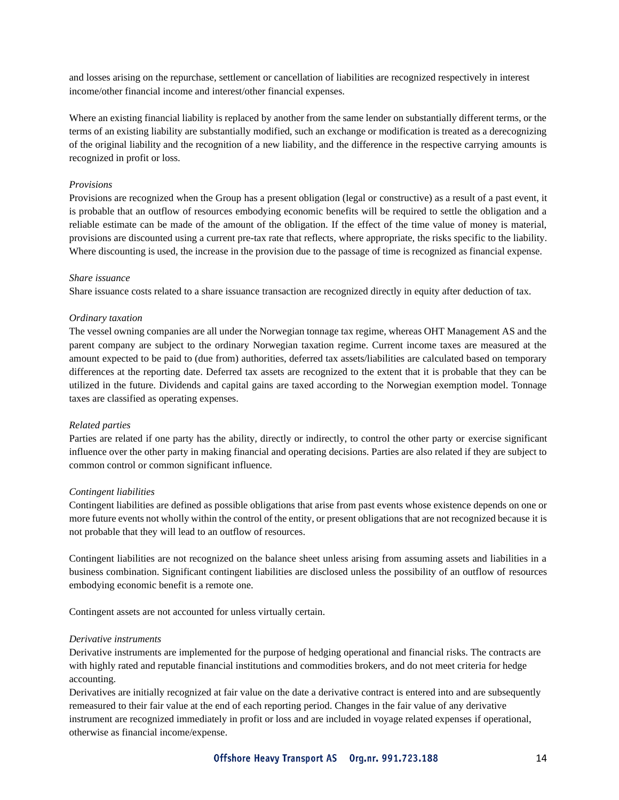and losses arising on the repurchase, settlement or cancellation of liabilities are recognized respectively in interest income/other financial income and interest/other financial expenses.

Where an existing financial liability is replaced by another from the same lender on substantially different terms, or the terms of an existing liability are substantially modified, such an exchange or modification is treated as a derecognizing of the original liability and the recognition of a new liability, and the difference in the respective carrying amounts is recognized in profit or loss.

#### *Provisions*

Provisions are recognized when the Group has a present obligation (legal or constructive) as a result of a past event, it is probable that an outflow of resources embodying economic benefits will be required to settle the obligation and a reliable estimate can be made of the amount of the obligation. If the effect of the time value of money is material, provisions are discounted using a current pre-tax rate that reflects, where appropriate, the risks specific to the liability. Where discounting is used, the increase in the provision due to the passage of time is recognized as financial expense.

#### *Share issuance*

Share issuance costs related to a share issuance transaction are recognized directly in equity after deduction of tax.

#### *Ordinary taxation*

The vessel owning companies are all under the Norwegian tonnage tax regime, whereas OHT Management AS and the parent company are subject to the ordinary Norwegian taxation regime. Current income taxes are measured at the amount expected to be paid to (due from) authorities, deferred tax assets/liabilities are calculated based on temporary differences at the reporting date. Deferred tax assets are recognized to the extent that it is probable that they can be utilized in the future. Dividends and capital gains are taxed according to the Norwegian exemption model. Tonnage taxes are classified as operating expenses.

#### *Related parties*

Parties are related if one party has the ability, directly or indirectly, to control the other party or exercise significant influence over the other party in making financial and operating decisions. Parties are also related if they are subject to common control or common significant influence.

#### *Contingent liabilities*

Contingent liabilities are defined as possible obligations that arise from past events whose existence depends on one or more future events not wholly within the control of the entity, or present obligations that are not recognized because it is not probable that they will lead to an outflow of resources.

Contingent liabilities are not recognized on the balance sheet unless arising from assuming assets and liabilities in a business combination. Significant contingent liabilities are disclosed unless the possibility of an outflow of resources embodying economic benefit is a remote one.

Contingent assets are not accounted for unless virtually certain.

#### *Derivative instruments*

Derivative instruments are implemented for the purpose of hedging operational and financial risks. The contracts are with highly rated and reputable financial institutions and commodities brokers, and do not meet criteria for hedge accounting.

Derivatives are initially recognized at fair value on the date a derivative contract is entered into and are subsequently remeasured to their fair value at the end of each reporting period. Changes in the fair value of any derivative instrument are recognized immediately in profit or loss and are included in voyage related expenses if operational, otherwise as financial income/expense.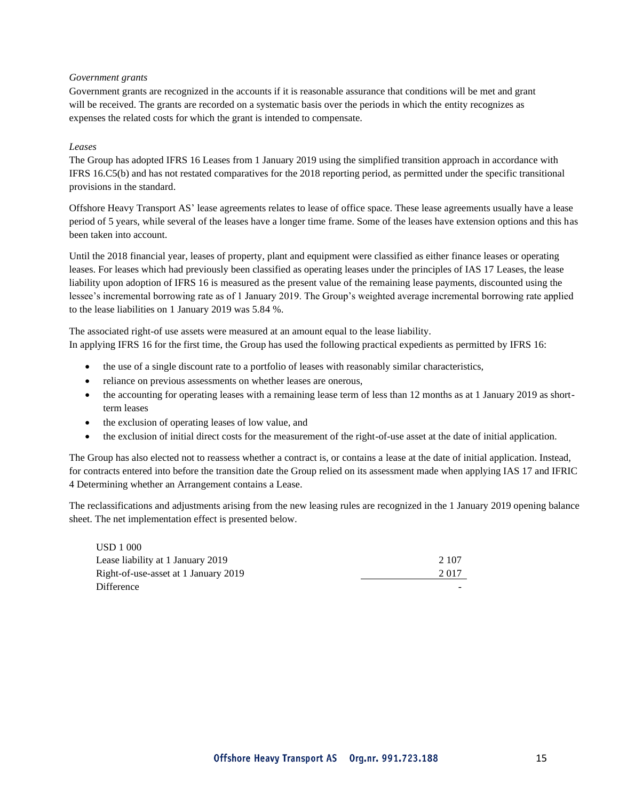#### *Government grants*

Government grants are recognized in the accounts if it is reasonable assurance that conditions will be met and grant will be received. The grants are recorded on a systematic basis over the periods in which the entity recognizes as expenses the related costs for which the grant is intended to compensate.

#### *Leases*

The Group has adopted IFRS 16 Leases from 1 January 2019 using the simplified transition approach in accordance with IFRS 16.C5(b) and has not restated comparatives for the 2018 reporting period, as permitted under the specific transitional provisions in the standard.

Offshore Heavy Transport AS' lease agreements relates to lease of office space. These lease agreements usually have a lease period of 5 years, while several of the leases have a longer time frame. Some of the leases have extension options and this has been taken into account.

Until the 2018 financial year, leases of property, plant and equipment were classified as either finance leases or operating leases. For leases which had previously been classified as operating leases under the principles of IAS 17 Leases, the lease liability upon adoption of IFRS 16 is measured as the present value of the remaining lease payments, discounted using the lessee's incremental borrowing rate as of 1 January 2019. The Group's weighted average incremental borrowing rate applied to the lease liabilities on 1 January 2019 was 5.84 %.

The associated right-of use assets were measured at an amount equal to the lease liability. In applying IFRS 16 for the first time, the Group has used the following practical expedients as permitted by IFRS 16:

- the use of a single discount rate to a portfolio of leases with reasonably similar characteristics,
- reliance on previous assessments on whether leases are onerous,
- the accounting for operating leases with a remaining lease term of less than 12 months as at 1 January 2019 as shortterm leases
- the exclusion of operating leases of low value, and
- the exclusion of initial direct costs for the measurement of the right-of-use asset at the date of initial application.

The Group has also elected not to reassess whether a contract is, or contains a lease at the date of initial application. Instead, for contracts entered into before the transition date the Group relied on its assessment made when applying IAS 17 and IFRIC 4 Determining whether an Arrangement contains a Lease.

The reclassifications and adjustments arising from the new leasing rules are recognized in the 1 January 2019 opening balance sheet. The net implementation effect is presented below.

| <b>USD</b> 1 000                     |       |
|--------------------------------------|-------|
| Lease liability at 1 January 2019    | 2.107 |
| Right-of-use-asset at 1 January 2019 | 2.017 |
| Difference                           |       |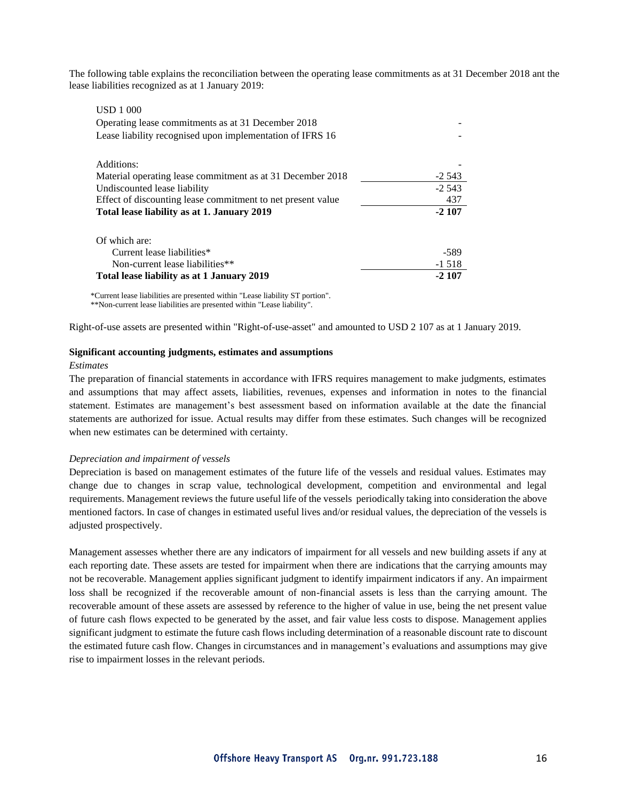The following table explains the reconciliation between the operating lease commitments as at 31 December 2018 ant the lease liabilities recognized as at 1 January 2019:

| <b>USD</b> 1 000                                            |          |
|-------------------------------------------------------------|----------|
| Operating lease commitments as at 31 December 2018          |          |
| Lease liability recognised upon implementation of IFRS 16   |          |
| Additions:                                                  |          |
| Material operating lease commitment as at 31 December 2018  | $-2.543$ |
| Undiscounted lease liability                                | $-2.543$ |
| Effect of discounting lease commitment to net present value | 437      |
| Total lease liability as at 1. January 2019                 | $-2107$  |
| Of which are:                                               |          |
| Current lease liabilities*                                  | -589     |
| Non-current lease liabilities**                             | $-1.518$ |
| Total lease liability as at 1 January 2019                  | $-2.107$ |

\*Current lease liabilities are presented within "Lease liability ST portion". \*\*Non-current lease liabilities are presented within "Lease liability".

Right-of-use assets are presented within "Right-of-use-asset" and amounted to USD 2 107 as at 1 January 2019.

#### **Significant accounting judgments, estimates and assumptions**

#### *Estimates*

The preparation of financial statements in accordance with IFRS requires management to make judgments, estimates and assumptions that may affect assets, liabilities, revenues, expenses and information in notes to the financial statement. Estimates are management's best assessment based on information available at the date the financial statements are authorized for issue. Actual results may differ from these estimates. Such changes will be recognized when new estimates can be determined with certainty.

#### *Depreciation and impairment of vessels*

Depreciation is based on management estimates of the future life of the vessels and residual values. Estimates may change due to changes in scrap value, technological development, competition and environmental and legal requirements. Management reviews the future useful life of the vessels periodically taking into consideration the above mentioned factors. In case of changes in estimated useful lives and/or residual values, the depreciation of the vessels is adjusted prospectively.

Management assesses whether there are any indicators of impairment for all vessels and new building assets if any at each reporting date. These assets are tested for impairment when there are indications that the carrying amounts may not be recoverable. Management applies significant judgment to identify impairment indicators if any. An impairment loss shall be recognized if the recoverable amount of non-financial assets is less than the carrying amount. The recoverable amount of these assets are assessed by reference to the higher of value in use, being the net present value of future cash flows expected to be generated by the asset, and fair value less costs to dispose. Management applies significant judgment to estimate the future cash flows including determination of a reasonable discount rate to discount the estimated future cash flow. Changes in circumstances and in management's evaluations and assumptions may give rise to impairment losses in the relevant periods.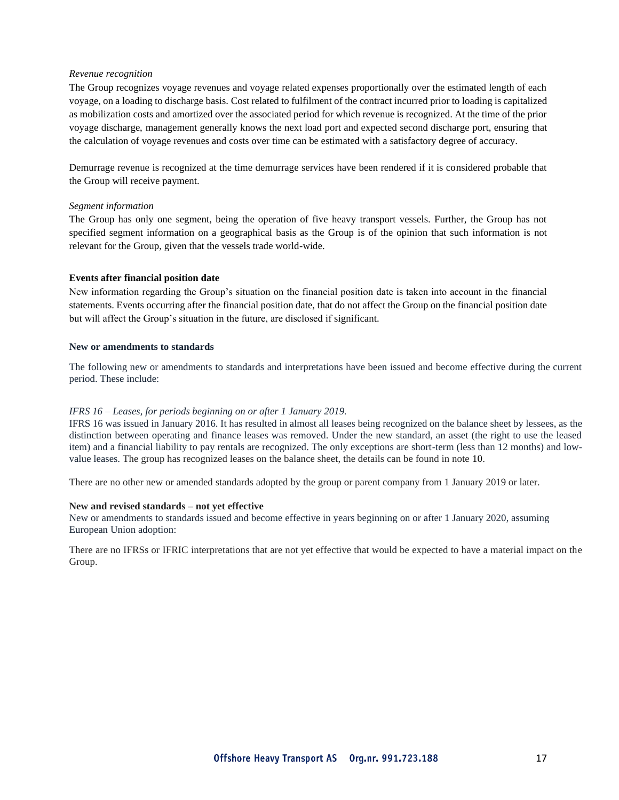#### *Revenue recognition*

The Group recognizes voyage revenues and voyage related expenses proportionally over the estimated length of each voyage, on a loading to discharge basis. Cost related to fulfilment of the contract incurred prior to loading is capitalized as mobilization costs and amortized over the associated period for which revenue is recognized. At the time of the prior voyage discharge, management generally knows the next load port and expected second discharge port, ensuring that the calculation of voyage revenues and costs over time can be estimated with a satisfactory degree of accuracy.

Demurrage revenue is recognized at the time demurrage services have been rendered if it is considered probable that the Group will receive payment.

#### *Segment information*

The Group has only one segment, being the operation of five heavy transport vessels. Further, the Group has not specified segment information on a geographical basis as the Group is of the opinion that such information is not relevant for the Group, given that the vessels trade world-wide.

#### **Events after financial position date**

New information regarding the Group's situation on the financial position date is taken into account in the financial statements. Events occurring after the financial position date, that do not affect the Group on the financial position date but will affect the Group's situation in the future, are disclosed if significant.

#### **New or amendments to standards**

The following new or amendments to standards and interpretations have been issued and become effective during the current period. These include:

#### *IFRS 16 – Leases, for periods beginning on or after 1 January 2019.*

IFRS 16 was issued in January 2016. It has resulted in almost all leases being recognized on the balance sheet by lessees, as the distinction between operating and finance leases was removed. Under the new standard, an asset (the right to use the leased item) and a financial liability to pay rentals are recognized. The only exceptions are short-term (less than 12 months) and lowvalue leases. The group has recognized leases on the balance sheet, the details can be found in note 10.

There are no other new or amended standards adopted by the group or parent company from 1 January 2019 or later.

#### **New and revised standards – not yet effective**

New or amendments to standards issued and become effective in years beginning on or after 1 January 2020, assuming European Union adoption:

There are no IFRSs or IFRIC interpretations that are not yet effective that would be expected to have a material impact on the Group.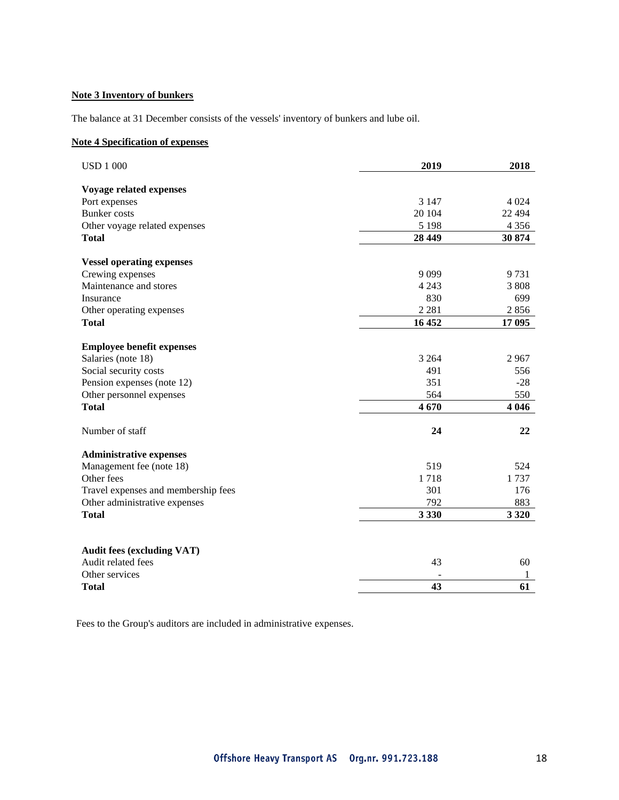### **Note 3 Inventory of bunkers**

The balance at 31 December consists of the vessels' inventory of bunkers and lube oil.

#### **Note 4 Specification of expenses**

| <b>USD 1 000</b>                    | 2019    | 2018     |
|-------------------------------------|---------|----------|
| Voyage related expenses             |         |          |
| Port expenses                       | 3 1 4 7 | 4 0 24   |
| <b>Bunker</b> costs                 | 20 104  | 22 4 9 4 |
| Other voyage related expenses       | 5 1 9 8 | 4 3 5 6  |
| <b>Total</b>                        | 28 4 49 | 30 874   |
| <b>Vessel operating expenses</b>    |         |          |
| Crewing expenses                    | 9099    | 9731     |
| Maintenance and stores              | 4 2 4 3 | 3808     |
| Insurance                           | 830     | 699      |
| Other operating expenses            | 2 2 8 1 | 2856     |
| <b>Total</b>                        | 16 452  | 17 095   |
|                                     |         |          |
| <b>Employee benefit expenses</b>    |         |          |
| Salaries (note 18)                  | 3 2 6 4 | 2967     |
| Social security costs               | 491     | 556      |
| Pension expenses (note 12)          | 351     | $-28$    |
| Other personnel expenses            | 564     | 550      |
| <b>Total</b>                        | 4670    | 4 0 4 6  |
| Number of staff                     | 24      | 22       |
| <b>Administrative expenses</b>      |         |          |
| Management fee (note 18)            | 519     | 524      |
| Other fees                          | 1718    | 1737     |
| Travel expenses and membership fees | 301     | 176      |
| Other administrative expenses       | 792     | 883      |
| <b>Total</b>                        | 3 3 3 0 | 3 3 2 0  |
|                                     |         |          |
| <b>Audit fees (excluding VAT)</b>   |         |          |
| Audit related fees                  | 43      | 60       |
| Other services                      |         | 1        |
| <b>Total</b>                        | 43      | 61       |

Fees to the Group's auditors are included in administrative expenses.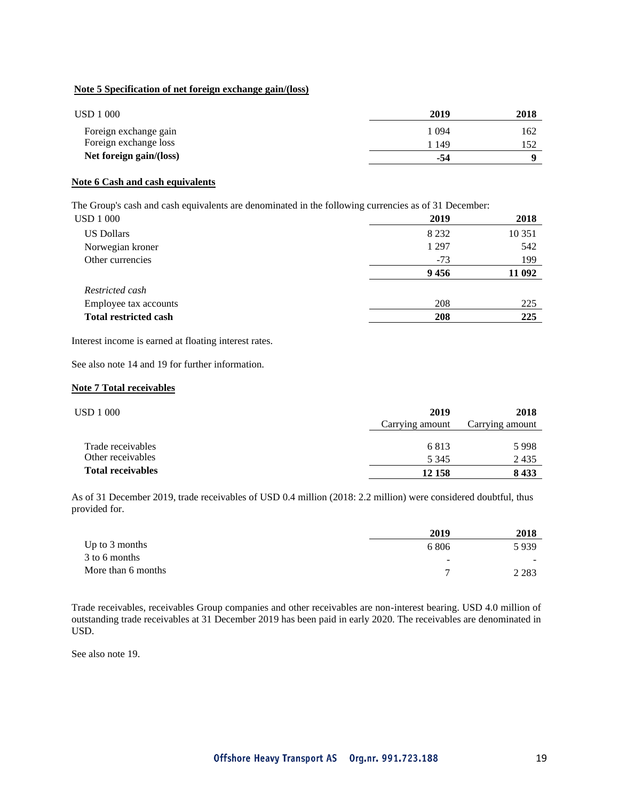#### **Note 5 Specification of net foreign exchange gain/(loss)**

| USD 1 000               | 2019  | 2018 |
|-------------------------|-------|------|
| Foreign exchange gain   | 1 094 | 162  |
| Foreign exchange loss   | 1 149 |      |
| Net foreign gain/(loss) | -54   |      |

#### **Note 6 Cash and cash equivalents**

The Group's cash and cash equivalents are denominated in the following currencies as of 31 December:

| USD 1 000                    | 2019    | 2018   |
|------------------------------|---------|--------|
| <b>US Dollars</b>            | 8 2 3 2 | 10 351 |
| Norwegian kroner             | 1 2 9 7 | 542    |
| Other currencies             | $-73$   | 199    |
|                              | 9456    | 11 092 |
| Restricted cash              |         |        |
| Employee tax accounts        | 208     | 225    |
| <b>Total restricted cash</b> | 208     | 225    |

Interest income is earned at floating interest rates.

See also note 14 and 19 for further information.

#### **Note 7 Total receivables**

| USD 1 000                | 2019<br>Carrying amount | 2018<br>Carrying amount |
|--------------------------|-------------------------|-------------------------|
| Trade receivables        | 6813                    | 5998                    |
| Other receivables        | 5 3 4 5                 | 2435                    |
| <b>Total receivables</b> | 12 158                  | 8433                    |

As of 31 December 2019, trade receivables of USD 0.4 million (2018: 2.2 million) were considered doubtful, thus provided for.

|                    | 2019                     | 2018    |
|--------------------|--------------------------|---------|
| Up to $3$ months   | 6 806                    | 5939    |
| 3 to 6 months      | $\overline{\phantom{0}}$ | $\sim$  |
| More than 6 months |                          | 2 2 8 3 |

Trade receivables, receivables Group companies and other receivables are non-interest bearing. USD 4.0 million of outstanding trade receivables at 31 December 2019 has been paid in early 2020. The receivables are denominated in USD.

See also note 19.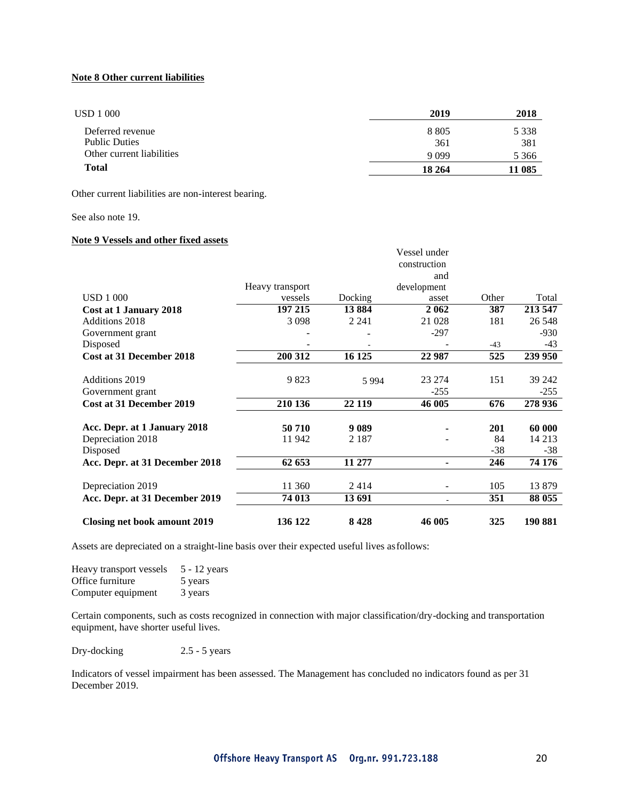#### **Note 8 Other current liabilities**

| USD 1 000                 | 2019    | 2018    |
|---------------------------|---------|---------|
| Deferred revenue          | 8 8 0 5 | 5 3 3 8 |
| <b>Public Duties</b>      | 361     | 381     |
| Other current liabilities | 9 0 9 9 | 5 3 6 6 |
| <b>Total</b>              | 18 264  | 11 085  |

Other current liabilities are non-interest bearing.

#### See also note 19.

#### **Note 9 Vessels and other fixed assets**

|                                     |                 |         | Vessel under<br>construction |       |         |
|-------------------------------------|-----------------|---------|------------------------------|-------|---------|
|                                     | Heavy transport |         | and<br>development           |       |         |
| <b>USD 1 000</b>                    | vessels         | Docking | asset                        | Other | Total   |
| Cost at 1 January 2018              | 197 215         | 13884   | 2062                         | 387   | 213 547 |
| Additions 2018                      | 3098            | 2 2 4 1 | 21 028                       | 181   | 26 548  |
| Government grant                    |                 |         | $-297$                       |       | $-930$  |
| Disposed                            |                 |         |                              | $-43$ | $-43$   |
| Cost at 31 December 2018            | 200 312         | 16 125  | 22 987                       | 525   | 239 950 |
|                                     |                 |         |                              |       |         |
| <b>Additions 2019</b>               | 9823            | 5994    | 23 274                       | 151   | 39 24 2 |
| Government grant                    |                 |         | $-255$                       |       | $-255$  |
| Cost at 31 December 2019            | 210 136         | 22 119  | 46 005                       | 676   | 278 936 |
| Acc. Depr. at 1 January 2018        | 50 710          | 9 0 8 9 |                              | 201   | 60 000  |
| Depreciation 2018                   | 11942           | 2 1 8 7 |                              | 84    | 14 2 13 |
| Disposed                            |                 |         |                              | $-38$ | $-38$   |
| Acc. Depr. at 31 December 2018      | 62 653          | 11 277  |                              | 246   | 74 176  |
| Depreciation 2019                   | 11 360          | 2414    |                              | 105   | 13879   |
| Acc. Depr. at 31 December 2019      | 74 013          | 13 691  |                              | 351   | 88 055  |
| <b>Closing net book amount 2019</b> | 136 122         | 8428    | 46 005                       | 325   | 190 881 |

Assets are depreciated on a straight-line basis over their expected useful lives asfollows:

| Heavy transport vessels | 5 - 12 years |
|-------------------------|--------------|
| Office furniture        | 5 years      |
| Computer equipment      | 3 years      |

Certain components, such as costs recognized in connection with major classification/dry-docking and transportation equipment, have shorter useful lives.

Dry-docking 2.5 - 5 years

Indicators of vessel impairment has been assessed. The Management has concluded no indicators found as per 31 December 2019.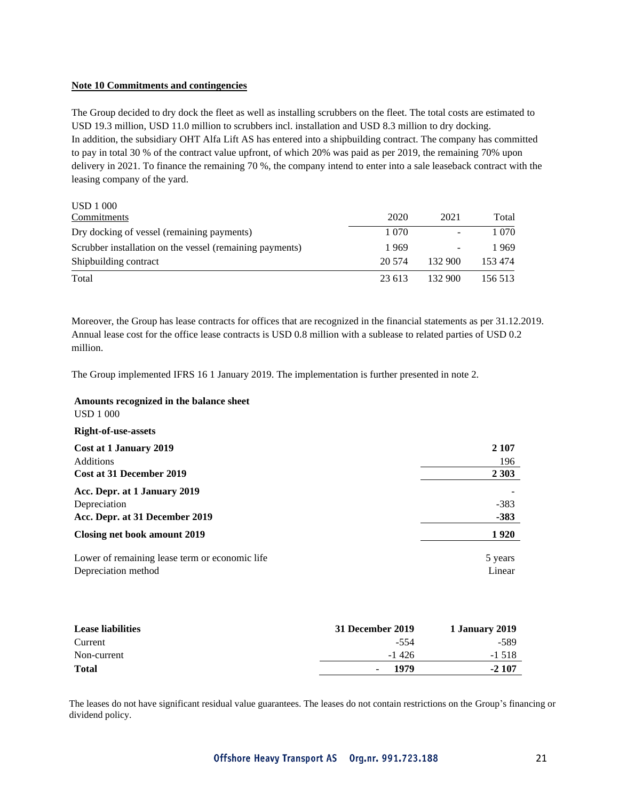#### **Note 10 Commitments and contingencies**

The Group decided to dry dock the fleet as well as installing scrubbers on the fleet. The total costs are estimated to USD 19.3 million, USD 11.0 million to scrubbers incl. installation and USD 8.3 million to dry docking. In addition, the subsidiary OHT Alfa Lift AS has entered into a shipbuilding contract. The company has committed to pay in total 30 % of the contract value upfront, of which 20% was paid as per 2019, the remaining 70% upon delivery in 2021. To finance the remaining 70 %, the company intend to enter into a sale leaseback contract with the leasing company of the yard.

| <b>USD</b> 1 000                                         |         |                 |         |
|----------------------------------------------------------|---------|-----------------|---------|
| Commitments                                              | 2020    | 2021            | Total   |
| Dry docking of vessel (remaining payments)               | 1 0 7 0 | -               | 1 070   |
| Scrubber installation on the vessel (remaining payments) | 1969    | $\qquad \qquad$ | 1969    |
| Shipbuilding contract                                    | 20.574  | 132 900         | 153 474 |
| Total                                                    | 23 613  | 132 900         | 156 513 |

Moreover, the Group has lease contracts for offices that are recognized in the financial statements as per 31.12.2019. Annual lease cost for the office lease contracts is USD 0.8 million with a sublease to related parties of USD 0.2 million.

The Group implemented IFRS 16 1 January 2019. The implementation is further presented in note 2.

#### **Amounts recognized in the balance sheet** USD 1 000

| <b>Right-of-use-assets</b>                     |         |
|------------------------------------------------|---------|
| Cost at 1 January 2019                         | 2 1 0 7 |
| <b>Additions</b>                               | 196     |
| Cost at 31 December 2019                       | 2 3 0 3 |
| Acc. Depr. at 1 January 2019                   |         |
| Depreciation                                   | $-383$  |
| Acc. Depr. at 31 December 2019                 | $-383$  |
| Closing net book amount 2019                   | 1920    |
| Lower of remaining lease term or economic life | 5 years |
| Depreciation method                            | Linear  |

| <b>Lease liabilities</b> | 31 December 2019                 | 1 January 2019 |
|--------------------------|----------------------------------|----------------|
| Current                  | -554                             | -589           |
| Non-current              | $-1426$                          | $-1.518$       |
| <b>Total</b>             | 1979<br>$\overline{\phantom{0}}$ | $-2107$        |

The leases do not have significant residual value guarantees. The leases do not contain restrictions on the Group's financing or dividend policy.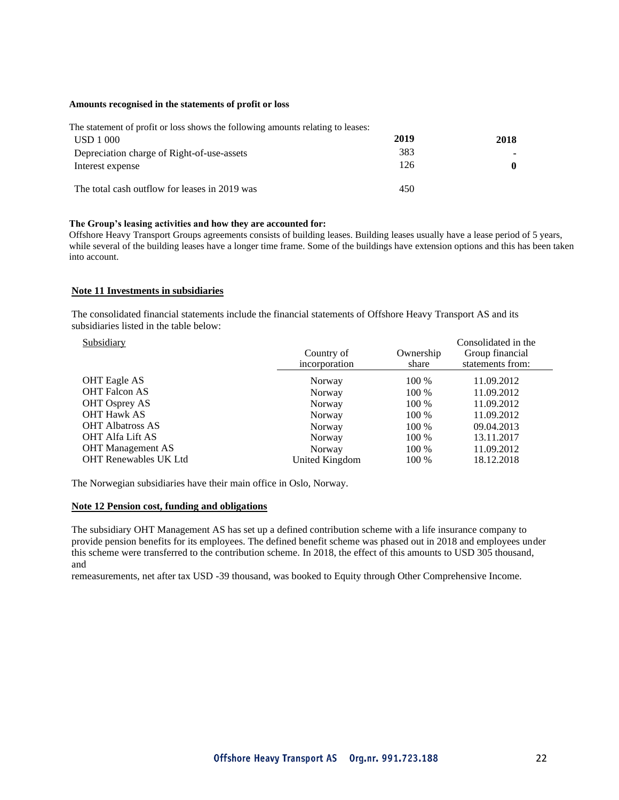#### **Amounts recognised in the statements of profit or loss**

| The statement of profit or loss shows the following amounts relating to leases: |      |      |
|---------------------------------------------------------------------------------|------|------|
| <b>USD</b> 1 000                                                                | 2019 | 2018 |
| Depreciation charge of Right-of-use-assets                                      | 383  |      |
| Interest expense                                                                | 126  | 0    |
| The total cash outflow for leases in 2019 was                                   | 450  |      |

#### **The Group's leasing activities and how they are accounted for:**

Offshore Heavy Transport Groups agreements consists of building leases. Building leases usually have a lease period of 5 years, while several of the building leases have a longer time frame. Some of the buildings have extension options and this has been taken into account.

#### **Note 11 Investments in subsidiaries**

The consolidated financial statements include the financial statements of Offshore Heavy Transport AS and its subsidiaries listed in the table below:

| Subsidiary                   | Country of<br>incorporation | Ownership<br>share | Consolidated in the<br>Group financial<br>statements from: |
|------------------------------|-----------------------------|--------------------|------------------------------------------------------------|
| <b>OHT</b> Eagle AS          | Norway                      | 100 %              | 11.09.2012                                                 |
| <b>OHT Falcon AS</b>         | Norway                      | 100 %              | 11.09.2012                                                 |
| <b>OHT Osprey AS</b>         | Norway                      | 100 %              | 11.09.2012                                                 |
| <b>OHT Hawk AS</b>           | Norway                      | 100 %              | 11.09.2012                                                 |
| <b>OHT Albatross AS</b>      | Norway                      | 100 %              | 09.04.2013                                                 |
| <b>OHT Alfa Lift AS</b>      | Norway                      | 100 %              | 13.11.2017                                                 |
| <b>OHT</b> Management AS     | Norway                      | 100 %              | 11.09.2012                                                 |
| <b>OHT Renewables UK Ltd</b> | United Kingdom              | 100 %              | 18.12.2018                                                 |

The Norwegian subsidiaries have their main office in Oslo, Norway.

#### **Note 12 Pension cost, funding and obligations**

The subsidiary OHT Management AS has set up a defined contribution scheme with a life insurance company to provide pension benefits for its employees. The defined benefit scheme was phased out in 2018 and employees under this scheme were transferred to the contribution scheme. In 2018, the effect of this amounts to USD 305 thousand, and

remeasurements, net after tax USD -39 thousand, was booked to Equity through Other Comprehensive Income.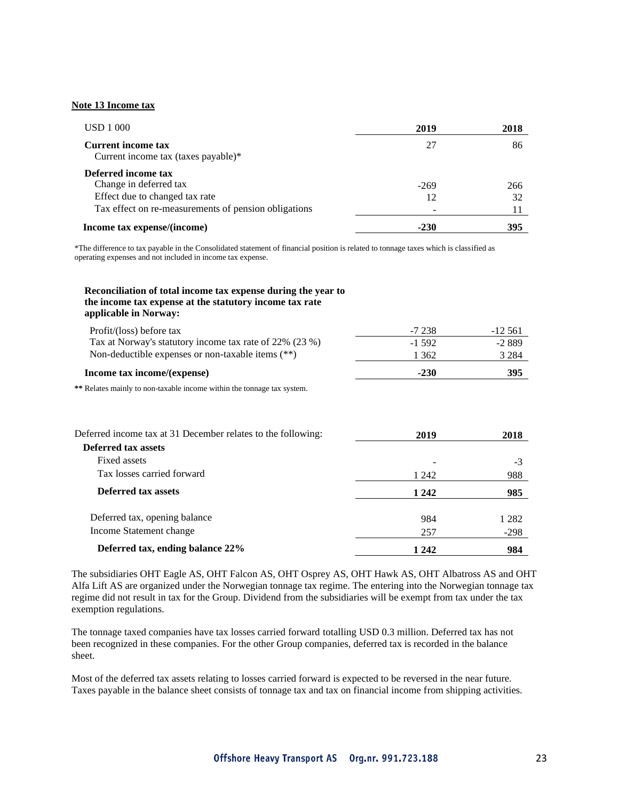#### **Note 13 Income tax**

| <b>USD</b> 1 000                                                 | 2019   | 2018 |
|------------------------------------------------------------------|--------|------|
| <b>Current income tax</b><br>Current income tax (taxes payable)* | 27     | 86   |
| Deferred income tax<br>Change in deferred tax                    | $-269$ | 266  |
| Effect due to changed tax rate                                   | 12     | 32   |
| Tax effect on re-measurements of pension obligations             |        | 11   |
| Income tax expense/(income)                                      | -230   | 395  |

\*The difference to tax payable in the Consolidated statement of financial position is related to tonnage taxes which is classified as operating expenses and not included in income tax expense.

#### **Reconciliation of total income tax expense during the year to the income tax expense at the statutory income tax rate applicable in Norway:**

| Income tax income/(expense)                             | $-230$   | 395       |
|---------------------------------------------------------|----------|-----------|
| Non-deductible expenses or non-taxable items (**)       | 1 362    | 3 2 8 4   |
| Tax at Norway's statutory income tax rate of 22% (23 %) | $-1.592$ | $-2889$   |
| Profit/(loss) before tax                                | -7.238   | $-12.561$ |

**\*\*** Relates mainly to non-taxable income within the tonnage tax system.

| Deferred income tax at 31 December relates to the following: | 2019    | 2018    |
|--------------------------------------------------------------|---------|---------|
| <b>Deferred tax assets</b>                                   |         |         |
| Fixed assets                                                 |         | $-3$    |
| Tax losses carried forward                                   | 1 242   | 988     |
| Deferred tax assets                                          | 1 2 4 2 | 985     |
| Deferred tax, opening balance                                | 984     | 1 2 8 2 |
| Income Statement change                                      | 257     | $-298$  |
| Deferred tax, ending balance 22%                             | 1 2 4 2 | 984     |

The subsidiaries OHT Eagle AS, OHT Falcon AS, OHT Osprey AS, OHT Hawk AS, OHT Albatross AS and OHT Alfa Lift AS are organized under the Norwegian tonnage tax regime. The entering into the Norwegian tonnage tax regime did not result in tax for the Group. Dividend from the subsidiaries will be exempt from tax under the tax exemption regulations.

The tonnage taxed companies have tax losses carried forward totalling USD 0.3 million. Deferred tax has not been recognized in these companies. For the other Group companies, deferred tax is recorded in the balance sheet.

Most of the deferred tax assets relating to losses carried forward is expected to be reversed in the near future. Taxes payable in the balance sheet consists of tonnage tax and tax on financial income from shipping activities.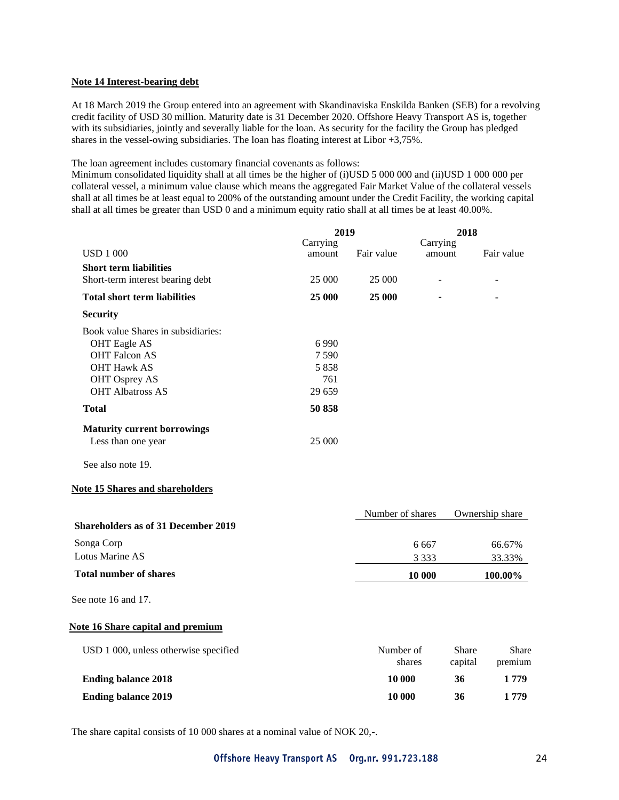#### **Note 14 Interest-bearing debt**

At 18 March 2019 the Group entered into an agreement with Skandinaviska Enskilda Banken (SEB) for a revolving credit facility of USD 30 million. Maturity date is 31 December 2020. Offshore Heavy Transport AS is, together with its subsidiaries, jointly and severally liable for the loan. As security for the facility the Group has pledged shares in the vessel-owing subsidiaries. The loan has floating interest at Libor +3,75%.

The loan agreement includes customary financial covenants as follows:

Minimum consolidated liquidity shall at all times be the higher of (i)USD 5 000 000 and (ii)USD 1 000 000 per collateral vessel, a minimum value clause which means the aggregated Fair Market Value of the collateral vessels shall at all times be at least equal to 200% of the outstanding amount under the Credit Facility, the working capital shall at all times be greater than USD 0 and a minimum equity ratio shall at all times be at least 40.00%.

|                                            | 2019               |                  | 2018               |         |                 |  |
|--------------------------------------------|--------------------|------------------|--------------------|---------|-----------------|--|
| <b>USD 1 000</b>                           | Carrying<br>amount | Fair value       | Carrying<br>amount |         | Fair value      |  |
| <b>Short term liabilities</b>              |                    |                  |                    |         |                 |  |
| Short-term interest bearing debt           | 25 000             | 25 000           |                    |         |                 |  |
| <b>Total short term liabilities</b>        | 25 000             | 25 000           |                    |         |                 |  |
| <b>Security</b>                            |                    |                  |                    |         |                 |  |
| Book value Shares in subsidiaries:         |                    |                  |                    |         |                 |  |
| <b>OHT</b> Eagle AS                        | 6990               |                  |                    |         |                 |  |
| <b>OHT Falcon AS</b>                       | 7590               |                  |                    |         |                 |  |
| <b>OHT Hawk AS</b>                         | 5858               |                  |                    |         |                 |  |
| <b>OHT Osprey AS</b>                       | 761                |                  |                    |         |                 |  |
| <b>OHT Albatross AS</b>                    | 29 659             |                  |                    |         |                 |  |
| <b>Total</b>                               | 50 858             |                  |                    |         |                 |  |
| <b>Maturity current borrowings</b>         |                    |                  |                    |         |                 |  |
| Less than one year                         | 25 000             |                  |                    |         |                 |  |
| See also note 19.                          |                    |                  |                    |         |                 |  |
| <b>Note 15 Shares and shareholders</b>     |                    |                  |                    |         |                 |  |
|                                            |                    | Number of shares |                    |         | Ownership share |  |
| <b>Shareholders as of 31 December 2019</b> |                    |                  |                    |         |                 |  |
| Songa Corp                                 |                    |                  | 6 6 6 7            |         | 66.67%          |  |
| <b>Lotus Marine AS</b>                     |                    |                  | 3 3 3 3            |         | 33.33%          |  |
| <b>Total number of shares</b>              |                    |                  | 10 000             |         | 100.00%         |  |
| See note 16 and 17.                        |                    |                  |                    |         |                 |  |
| <b>Note 16 Share capital and premium</b>   |                    |                  |                    |         |                 |  |
| USD 1 000, unless otherwise specified      |                    | Number of        |                    | Share   | Share           |  |
|                                            |                    |                  | shares             | capital | premium         |  |
| <b>Ending balance 2018</b>                 |                    | 10 000           |                    | 36      | 1 779           |  |
| <b>Ending balance 2019</b>                 |                    | 10 000           |                    | 36      | 1 779           |  |

The share capital consists of 10 000 shares at a nominal value of NOK 20,-.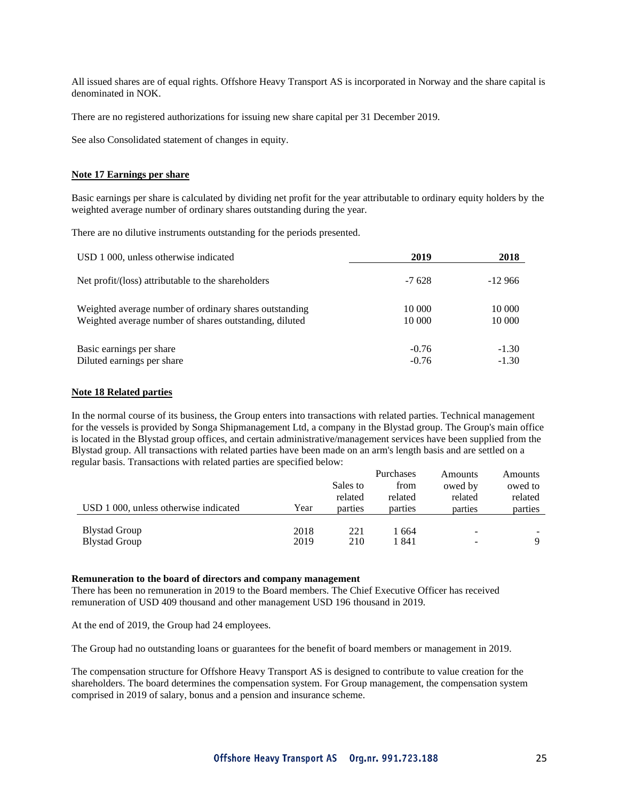All issued shares are of equal rights. Offshore Heavy Transport AS is incorporated in Norway and the share capital is denominated in NOK.

There are no registered authorizations for issuing new share capital per 31 December 2019.

See also Consolidated statement of changes in equity.

#### **Note 17 Earnings per share**

Basic earnings per share is calculated by dividing net profit for the year attributable to ordinary equity holders by the weighted average number of ordinary shares outstanding during the year.

There are no dilutive instruments outstanding for the periods presented.

| USD 1 000, unless otherwise indicated                  | 2019     | 2018     |
|--------------------------------------------------------|----------|----------|
| Net profit/(loss) attributable to the shareholders     | $-7.628$ | $-12966$ |
| Weighted average number of ordinary shares outstanding | 10 000   | 10 000   |
| Weighted average number of shares outstanding, diluted | 10 000   | 10 000   |
| Basic earnings per share                               | $-0.76$  | $-1.30$  |
| Diluted earnings per share                             | $-0.76$  | $-1.30$  |

#### **Note 18 Related parties**

In the normal course of its business, the Group enters into transactions with related parties. Technical management for the vessels is provided by Songa Shipmanagement Ltd, a company in the Blystad group. The Group's main office is located in the Blystad group offices, and certain administrative/management services have been supplied from the Blystad group. All transactions with related parties have been made on an arm's length basis and are settled on a regular basis. Transactions with related parties are specified below:

|                                       |      |          | Purchases | Amounts | Amounts |
|---------------------------------------|------|----------|-----------|---------|---------|
|                                       |      | Sales to | from      | owed by | owed to |
|                                       |      | related  | related   | related | related |
| USD 1 000, unless otherwise indicated | Year | parties  | parties   | parties | parties |
|                                       |      |          |           |         |         |
| <b>Blystad Group</b>                  | 2018 | 221      | 1 664     | ۰       |         |
| <b>Blystad Group</b>                  | 2019 | 210      | 1 841     |         | Q       |

#### **Remuneration to the board of directors and company management**

There has been no remuneration in 2019 to the Board members. The Chief Executive Officer has received remuneration of USD 409 thousand and other management USD 196 thousand in 2019.

At the end of 2019, the Group had 24 employees.

The Group had no outstanding loans or guarantees for the benefit of board members or management in 2019.

The compensation structure for Offshore Heavy Transport AS is designed to contribute to value creation for the shareholders. The board determines the compensation system. For Group management, the compensation system comprised in 2019 of salary, bonus and a pension and insurance scheme.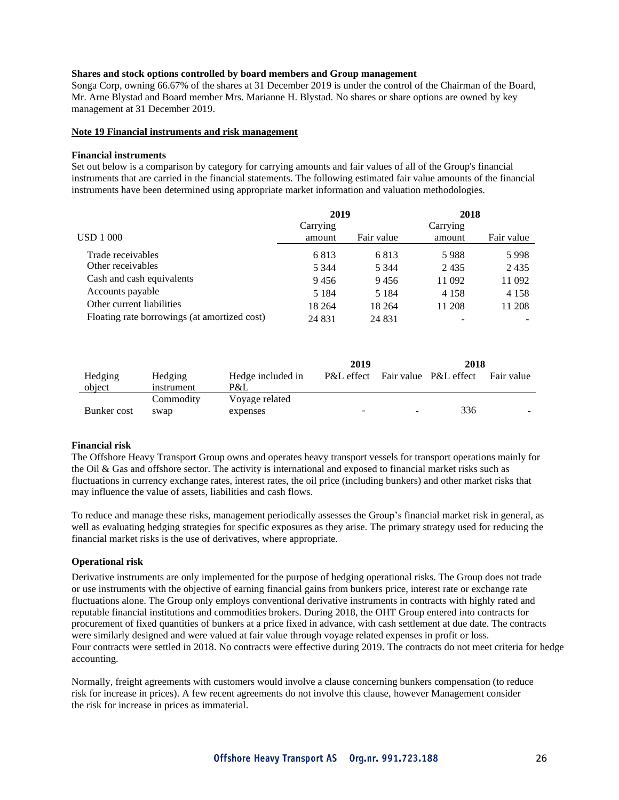#### **Shares and stock options controlled by board members and Group management**

Songa Corp, owning 66.67% of the shares at 31 December 2019 is under the control of the Chairman of the Board, Mr. Arne Blystad and Board member Mrs. Marianne H. Blystad. No shares or share options are owned by key management at 31 December 2019.

#### **Note 19 Financial instruments and risk management**

#### **Financial instruments**

Set out below is a comparison by category for carrying amounts and fair values of all of the Group's financial instruments that are carried in the financial statements. The following estimated fair value amounts of the financial instruments have been determined using appropriate market information and valuation methodologies.

|                                              | 2019     |            | 2018     |            |
|----------------------------------------------|----------|------------|----------|------------|
|                                              | Carrying |            | Carrying |            |
| <b>USD 1 000</b>                             | amount   | Fair value | amount   | Fair value |
| Trade receivables                            | 6813     | 6813       | 5988     | 5998       |
| Other receivables                            | 5 3 4 4  | 5 3 4 4    | 2435     | 2435       |
| Cash and cash equivalents                    | 9456     | 9456       | 11 092   | 11 092     |
| Accounts payable                             | 5 1 8 4  | 5 1 8 4    | 4 1 5 8  | 4 1 5 8    |
| Other current liabilities                    | 18 264   | 18 264     | 11 208   | 11 208     |
| Floating rate borrowings (at amortized cost) | 24 8 31  | 24 8 31    |          |            |

|                   |                       |                          | 2019                     |    | 2018                             |            |
|-------------------|-----------------------|--------------------------|--------------------------|----|----------------------------------|------------|
| Hedging<br>object | Hedging<br>instrument | Hedge included in<br>P&L |                          |    | P&L effect Fair value P&L effect | Fair value |
|                   | Commodity             | Voyage related           |                          |    |                                  |            |
| Bunker cost       | swap                  | expenses                 | $\overline{\phantom{0}}$ | ۰. | 336                              |            |

#### **Financial risk**

The Offshore Heavy Transport Group owns and operates heavy transport vessels for transport operations mainly for the Oil & Gas and offshore sector. The activity is international and exposed to financial market risks such as fluctuations in currency exchange rates, interest rates, the oil price (including bunkers) and other market risks that may influence the value of assets, liabilities and cash flows.

To reduce and manage these risks, management periodically assesses the Group's financial market risk in general, as well as evaluating hedging strategies for specific exposures as they arise. The primary strategy used for reducing the financial market risks is the use of derivatives, where appropriate.

#### **Operational risk**

Derivative instruments are only implemented for the purpose of hedging operational risks. The Group does not trade or use instruments with the objective of earning financial gains from bunkers price, interest rate or exchange rate fluctuations alone. The Group only employs conventional derivative instruments in contracts with highly rated and reputable financial institutions and commodities brokers. During 2018, the OHT Group entered into contracts for procurement of fixed quantities of bunkers at a price fixed in advance, with cash settlement at due date. The contracts were similarly designed and were valued at fair value through voyage related expenses in profit or loss. Four contracts were settled in 2018. No contracts were effective during 2019. The contracts do not meet criteria for hedge accounting.

Normally, freight agreements with customers would involve a clause concerning bunkers compensation (to reduce risk for increase in prices). A few recent agreements do not involve this clause, however Management consider the risk for increase in prices as immaterial.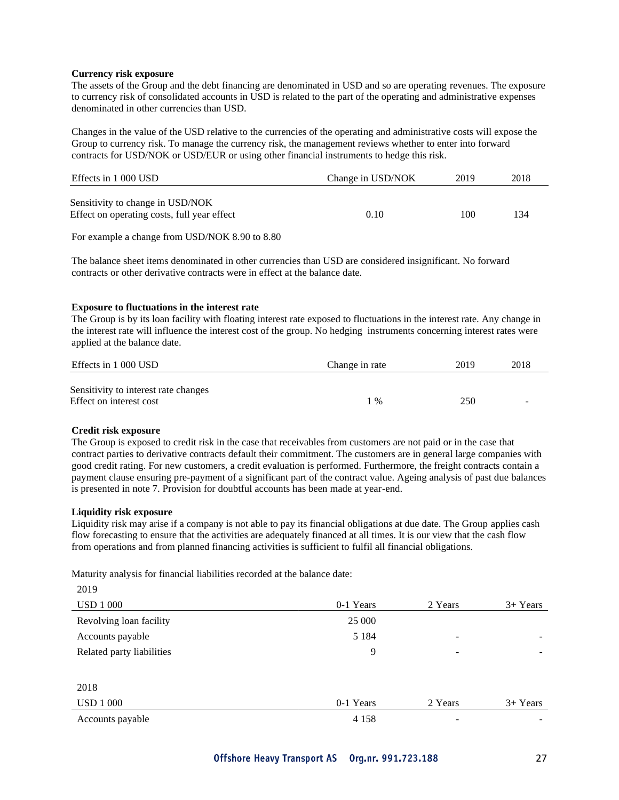#### **Currency risk exposure**

The assets of the Group and the debt financing are denominated in USD and so are operating revenues. The exposure to currency risk of consolidated accounts in USD is related to the part of the operating and administrative expenses denominated in other currencies than USD.

Changes in the value of the USD relative to the currencies of the operating and administrative costs will expose the Group to currency risk. To manage the currency risk, the management reviews whether to enter into forward contracts for USD/NOK or USD/EUR or using other financial instruments to hedge this risk.

| Effects in 1 000 USD                                                            | Change in USD/NOK | 2019 | 2018 |
|---------------------------------------------------------------------------------|-------------------|------|------|
| Sensitivity to change in USD/NOK<br>Effect on operating costs, full year effect | 0.10              | 100  | 134  |

For example a change from USD/NOK 8.90 to 8.80

The balance sheet items denominated in other currencies than USD are considered insignificant. No forward contracts or other derivative contracts were in effect at the balance date.

#### **Exposure to fluctuations in the interest rate**

The Group is by its loan facility with floating interest rate exposed to fluctuations in the interest rate. Any change in the interest rate will influence the interest cost of the group. No hedging instruments concerning interest rates were applied at the balance date.

| Effects in 1 000 USD                                            | Change in rate | 2019 | 2018                     |
|-----------------------------------------------------------------|----------------|------|--------------------------|
| Sensitivity to interest rate changes<br>Effect on interest cost | $1\%$          | 250  | $\overline{\phantom{a}}$ |

#### **Credit risk exposure**

The Group is exposed to credit risk in the case that receivables from customers are not paid or in the case that contract parties to derivative contracts default their commitment. The customers are in general large companies with good credit rating. For new customers, a credit evaluation is performed. Furthermore, the freight contracts contain a payment clause ensuring pre-payment of a significant part of the contract value. Ageing analysis of past due balances is presented in note 7. Provision for doubtful accounts has been made at year-end.

#### **Liquidity risk exposure**

Liquidity risk may arise if a company is not able to pay its financial obligations at due date. The Group applies cash flow forecasting to ensure that the activities are adequately financed at all times. It is our view that the cash flow from operations and from planned financing activities is sufficient to fulfil all financial obligations.

Maturity analysis for financial liabilities recorded at the balance date:

2019

| <b>USD 1 000</b>          | 0-1 Years | 2 Years                  | $3+ Years$               |
|---------------------------|-----------|--------------------------|--------------------------|
| Revolving loan facility   | 25 000    |                          |                          |
| Accounts payable          | 5 1 8 4   | -                        | $\overline{\phantom{0}}$ |
| Related party liabilities | 9         | $\overline{\phantom{a}}$ |                          |
|                           |           |                          |                          |
| 2018                      |           |                          |                          |
| <b>USD 1 000</b>          | 0-1 Years | 2 Years                  | $3+ Years$               |
| Accounts payable          | 4 1 5 8   | -                        |                          |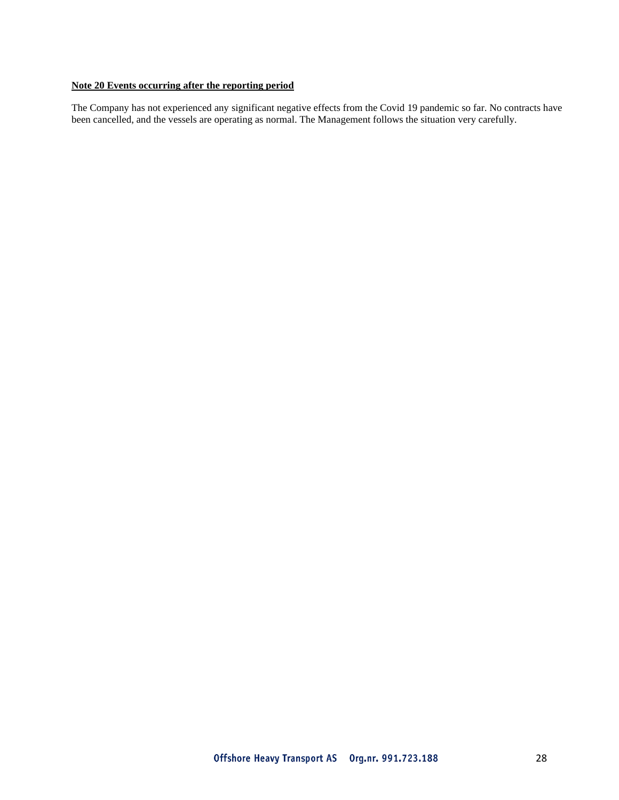#### **Note 20 Events occurring after the reporting period**

The Company has not experienced any significant negative effects from the Covid 19 pandemic so far. No contracts have been cancelled, and the vessels are operating as normal. The Management follows the situation very carefully.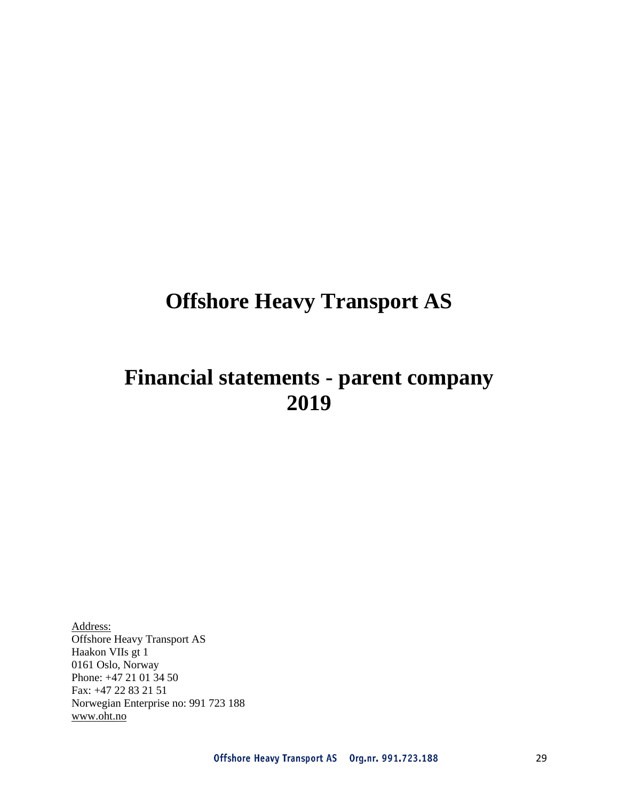# **Offshore Heavy Transport AS**

# **Financial statements - parent company 2019**

Address: Offshore Heavy Transport AS Haakon VIIs gt 1 0161 Oslo, Norway Phone: +47 21 01 34 50 Fax: +47 22 83 21 51 Norwegian Enterprise no: 991 723 188 [www.oht.no](http://www.oht.no/)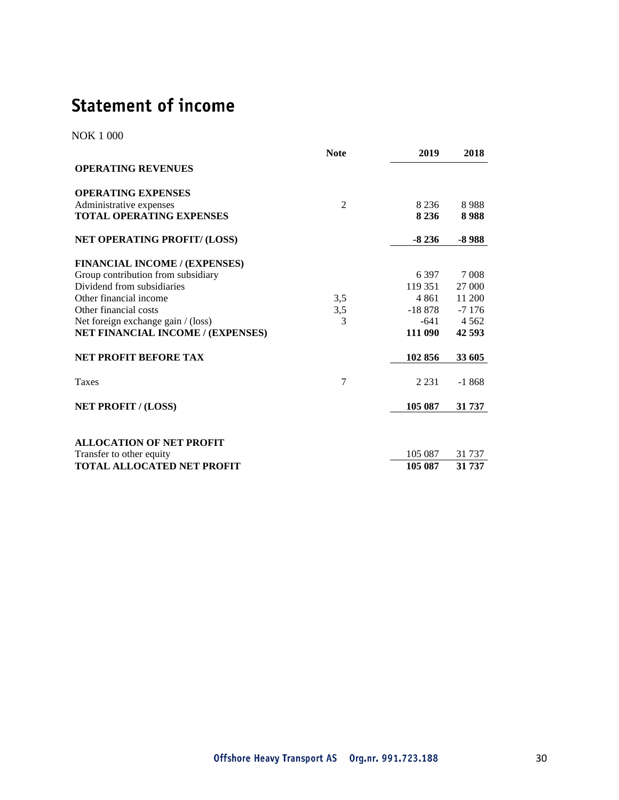# **Statement of income**

NOK 1 000

|                                                             | <b>Note</b>    | 2019    | 2018    |
|-------------------------------------------------------------|----------------|---------|---------|
| <b>OPERATING REVENUES</b>                                   |                |         |         |
| <b>OPERATING EXPENSES</b>                                   |                |         |         |
| Administrative expenses                                     | $\overline{2}$ | 8 2 3 6 | 8988    |
| <b>TOTAL OPERATING EXPENSES</b>                             |                | 8 2 3 6 | 8988    |
| NET OPERATING PROFIT/ (LOSS)                                |                | $-8236$ | -8 988  |
| <b>FINANCIAL INCOME / (EXPENSES)</b>                        |                |         |         |
| Group contribution from subsidiary                          |                | 6.397   | 7 0 0 8 |
| Dividend from subsidiaries                                  |                | 119 351 | 27 000  |
| Other financial income                                      | 3.5            | 4 8 6 1 | 11 200  |
| Other financial costs                                       | 3,5            | -18 878 | $-7176$ |
| Net foreign exchange gain / (loss)                          | 3              | -641    | 4 5 6 2 |
| NET FINANCIAL INCOME / (EXPENSES)                           |                | 111 090 | 42 593  |
| <b>NET PROFIT BEFORE TAX</b>                                |                | 102 856 | 33 605  |
| Taxes                                                       | 7              | 2 2 3 1 | $-1868$ |
| <b>NET PROFIT / (LOSS)</b>                                  |                | 105 087 | 31 737  |
|                                                             |                |         |         |
| <b>ALLOCATION OF NET PROFIT</b><br>Transfer to other equity |                | 105 087 | 31 737  |
| <b>TOTAL ALLOCATED NET PROFIT</b>                           |                | 105 087 | 31 737  |
|                                                             |                |         |         |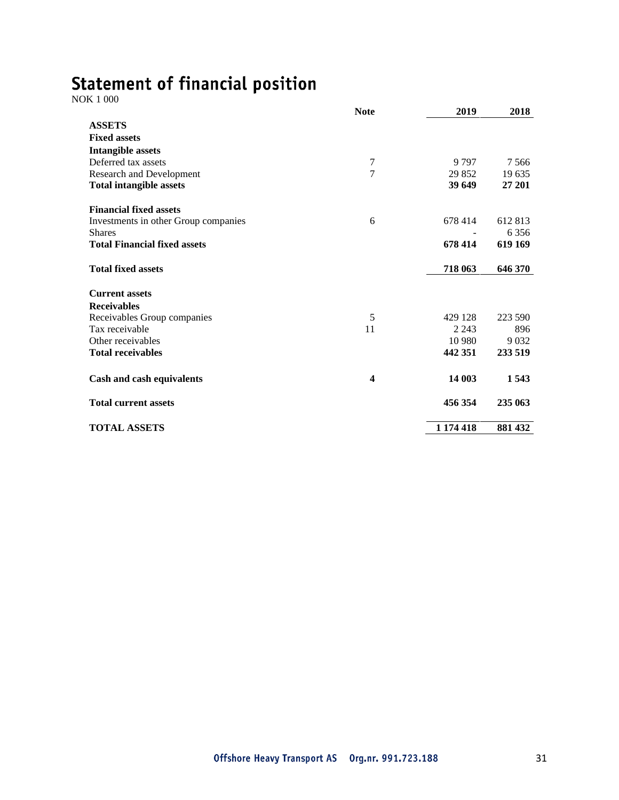# Statement of financial position  $NOK 1 000$

|                                      | <b>Note</b>    | 2019      | 2018    |
|--------------------------------------|----------------|-----------|---------|
| <b>ASSETS</b>                        |                |           |         |
| <b>Fixed assets</b>                  |                |           |         |
| <b>Intangible assets</b>             |                |           |         |
| Deferred tax assets                  | $\tau$         | 9 7 9 7   | 7566    |
| Research and Development             | $\overline{7}$ | 29 852    | 19 635  |
| <b>Total intangible assets</b>       |                | 39 649    | 27 201  |
| <b>Financial fixed assets</b>        |                |           |         |
| Investments in other Group companies | 6              | 678 414   | 612 813 |
| <b>Shares</b>                        |                |           | 6 3 5 6 |
| <b>Total Financial fixed assets</b>  |                | 678 414   | 619 169 |
| <b>Total fixed assets</b>            |                | 718 063   | 646 370 |
| <b>Current assets</b>                |                |           |         |
| <b>Receivables</b>                   |                |           |         |
| Receivables Group companies          | 5              | 429 128   | 223 590 |
| Tax receivable                       | 11             | 2 2 4 3   | 896     |
| Other receivables                    |                | 10 980    | 9 0 3 2 |
| <b>Total receivables</b>             |                | 442 351   | 233 519 |
| Cash and cash equivalents            | 4              | 14 003    | 1543    |
| <b>Total current assets</b>          |                | 456 354   | 235 063 |
| <b>TOTAL ASSETS</b>                  |                | 1 174 418 | 881 432 |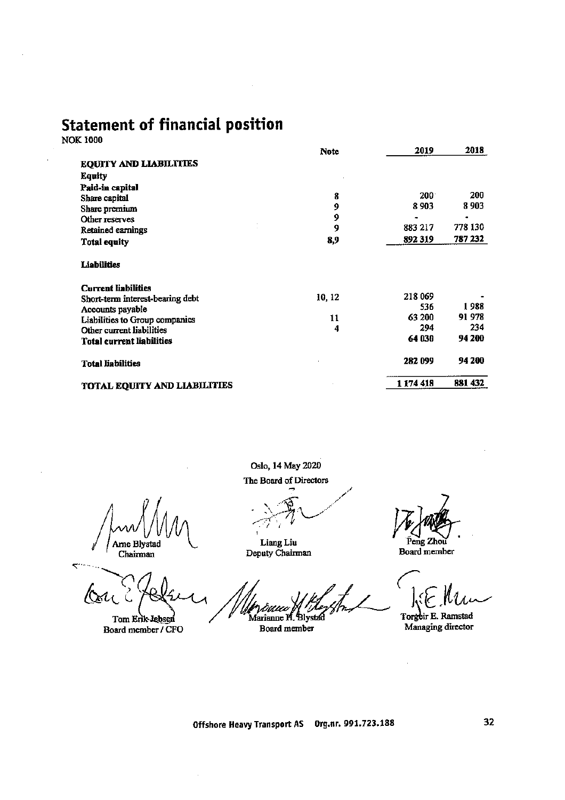# **Statement of financial position**

**NOK 1000** 

|                                     | <b>Note</b> | 2019    | 2018    |
|-------------------------------------|-------------|---------|---------|
| <b>EQUITY AND LIABILITIES</b>       |             |         |         |
| Equity                              |             |         |         |
| Paid-in capital                     |             |         |         |
| Share capital                       | 8           | 200     | 200     |
| Share premium                       | 9           | 8903    | 8903    |
| Other reserves                      | 9           |         |         |
| Retained earnings                   | 9           | 883 217 | 778 130 |
| <b>Total equity</b>                 | 8,9         | 892 319 | 787 232 |
| <b>Liabilities</b>                  |             |         |         |
| <b>Current liabilities</b>          |             |         |         |
| Short-term interest-bearing debt    | 10, 12      | 218 069 |         |
| Accounts payable                    |             | 536     | 1988    |
| Liabilities to Group companies      | 11          | 63 200  | 91 978  |
| Other current liabilities           | 4           | 294     | 234     |
| <b>Total current liabilities</b>    |             | 64030   | 94 200  |
| <b>Total liabilities</b>            |             | 282 099 | 94 200  |
| <b>TOTAL EQUITY AND LIABILITIES</b> |             | 1174418 | 881 432 |

Oslo, 14 May 2020

The Board of Directors

Arne Blystad Chairman

Tom Erik-Jebsen Board member / CFO

Liang Liu<br>Deputy Chairman

Marianne H. Blystad Board member

Peng Zhoù

Board member

Torgeir E. Ramstad<br>Managing director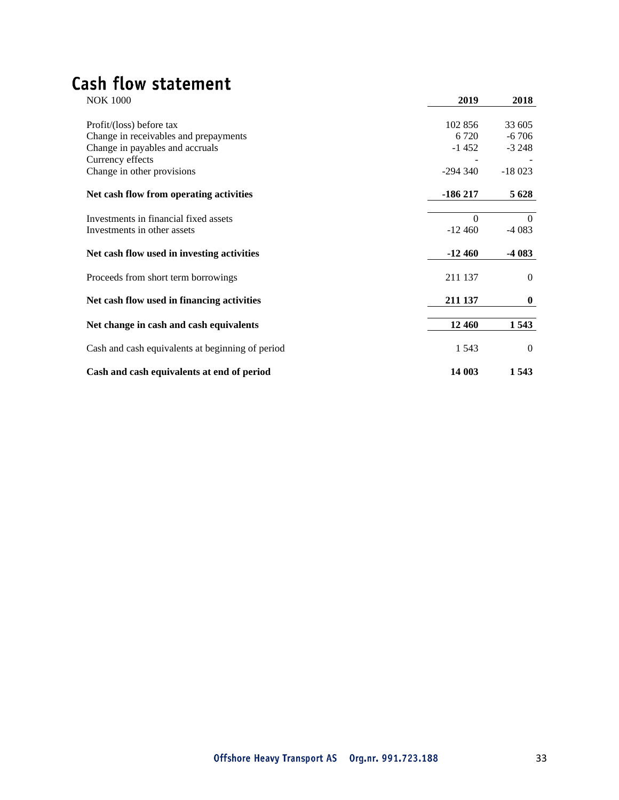# Cash flow statement

| <b>NOK 1000</b>                                  | 2019      | 2018     |
|--------------------------------------------------|-----------|----------|
| Profit/(loss) before tax                         | 102 856   | 33 605   |
| Change in receivables and prepayments            | 6 7 2 0   | $-6706$  |
| Change in payables and accruals                  | $-1452$   | $-3248$  |
| Currency effects                                 |           |          |
| Change in other provisions                       | $-294340$ | $-18023$ |
| Net cash flow from operating activities          | $-186217$ | 5 6 28   |
| Investments in financial fixed assets            | $\Omega$  | $\Omega$ |
| Investments in other assets                      | $-12460$  | $-4083$  |
| Net cash flow used in investing activities       | $-12460$  | $-4083$  |
| Proceeds from short term borrowings              | 211 137   | $\Omega$ |
| Net cash flow used in financing activities       | 211 137   | $\bf{0}$ |
| Net change in cash and cash equivalents          | 12 460    | 1543     |
| Cash and cash equivalents at beginning of period | 1 5 4 3   | $\Omega$ |
| Cash and cash equivalents at end of period       | 14 003    | 1543     |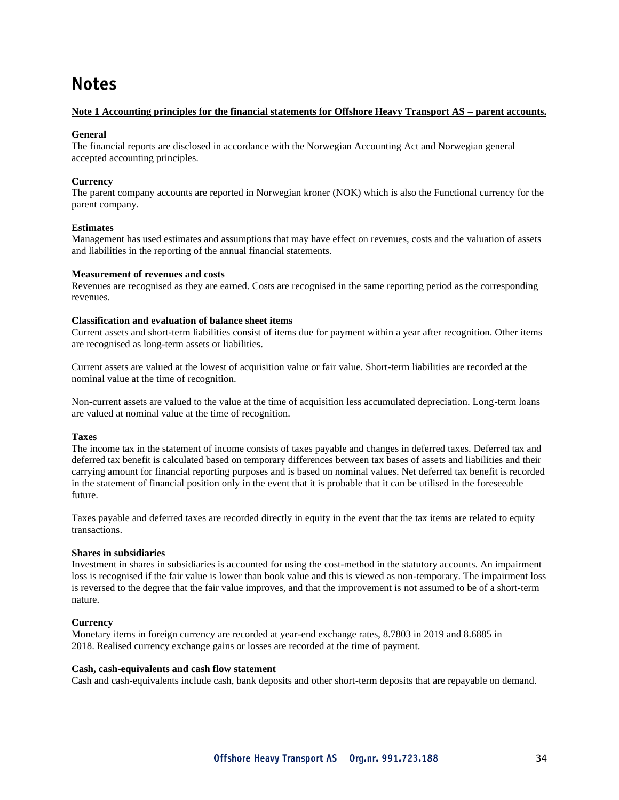## **Notes**

#### **Note 1 Accounting principles for the financial statements for Offshore Heavy Transport AS – parent accounts.**

#### **General**

The financial reports are disclosed in accordance with the Norwegian Accounting Act and Norwegian general accepted accounting principles.

#### **Currency**

The parent company accounts are reported in Norwegian kroner (NOK) which is also the Functional currency for the parent company.

#### **Estimates**

Management has used estimates and assumptions that may have effect on revenues, costs and the valuation of assets and liabilities in the reporting of the annual financial statements.

#### **Measurement of revenues and costs**

Revenues are recognised as they are earned. Costs are recognised in the same reporting period as the corresponding revenues.

#### **Classification and evaluation of balance sheet items**

Current assets and short-term liabilities consist of items due for payment within a year after recognition. Other items are recognised as long-term assets or liabilities.

Current assets are valued at the lowest of acquisition value or fair value. Short-term liabilities are recorded at the nominal value at the time of recognition.

Non-current assets are valued to the value at the time of acquisition less accumulated depreciation. Long-term loans are valued at nominal value at the time of recognition.

#### **Taxes**

The income tax in the statement of income consists of taxes payable and changes in deferred taxes. Deferred tax and deferred tax benefit is calculated based on temporary differences between tax bases of assets and liabilities and their carrying amount for financial reporting purposes and is based on nominal values. Net deferred tax benefit is recorded in the statement of financial position only in the event that it is probable that it can be utilised in the foreseeable future.

Taxes payable and deferred taxes are recorded directly in equity in the event that the tax items are related to equity transactions.

#### **Shares in subsidiaries**

Investment in shares in subsidiaries is accounted for using the cost-method in the statutory accounts. An impairment loss is recognised if the fair value is lower than book value and this is viewed as non-temporary. The impairment loss is reversed to the degree that the fair value improves, and that the improvement is not assumed to be of a short-term nature.

#### **Currency**

Monetary items in foreign currency are recorded at year-end exchange rates, 8.7803 in 2019 and 8.6885 in 2018. Realised currency exchange gains or losses are recorded at the time of payment.

#### **Cash, cash-equivalents and cash flow statement**

Cash and cash-equivalents include cash, bank deposits and other short-term deposits that are repayable on demand.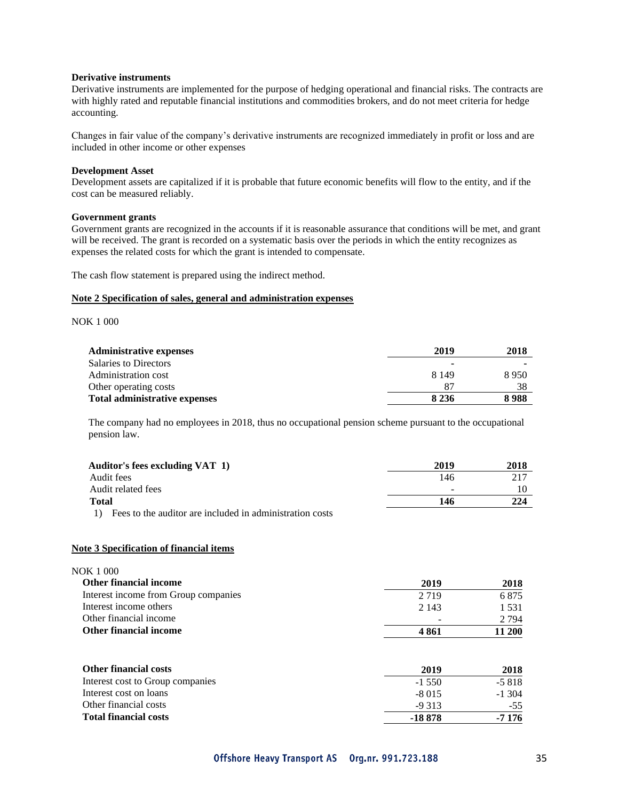#### **Derivative instruments**

Derivative instruments are implemented for the purpose of hedging operational and financial risks. The contracts are with highly rated and reputable financial institutions and commodities brokers, and do not meet criteria for hedge accounting.

Changes in fair value of the company's derivative instruments are recognized immediately in profit or loss and are included in other income or other expenses

#### **Development Asset**

Development assets are capitalized if it is probable that future economic benefits will flow to the entity, and if the cost can be measured reliably.

#### **Government grants**

Government grants are recognized in the accounts if it is reasonable assurance that conditions will be met, and grant will be received. The grant is recorded on a systematic basis over the periods in which the entity recognizes as expenses the related costs for which the grant is intended to compensate.

The cash flow statement is prepared using the indirect method.

#### **Note 2 Specification of sales, general and administration expenses**

NOK 1 000

| <b>Administrative expenses</b>       | 2019    | 2018 |
|--------------------------------------|---------|------|
| <b>Salaries to Directors</b>         |         |      |
| Administration cost                  | 8.149   | 8950 |
| Other operating costs                | 87      | 38   |
| <b>Total administrative expenses</b> | 8 2 3 6 | 8988 |

The company had no employees in 2018, thus no occupational pension scheme pursuant to the occupational pension law.

| Auditor's fees excluding VAT 1)                                    | 2019 | 2018 |
|--------------------------------------------------------------------|------|------|
| Audit fees                                                         | 146  | 217  |
| Audit related fees                                                 | -    |      |
| <b>Total</b>                                                       | 146  | 224  |
| Fees to the auditor are included in administration costs<br>$\Box$ |      |      |

#### **Note 3 Specification of financial items**

| 2019    | 2018    |
|---------|---------|
| 2 7 1 9 | 6875    |
| 2.143   | 1.531   |
|         | 2 7 9 4 |
| 4 861   | 11 200  |
|         |         |

| <b>Other financial costs</b>     | 2019     | 2018   |
|----------------------------------|----------|--------|
| Interest cost to Group companies | $-1,550$ | -5 818 |
| Interest cost on loans           | -8.015   | -1.304 |
| Other financial costs            | $-9313$  | $-55$  |
| <b>Total financial costs</b>     | -18 878  | -7 176 |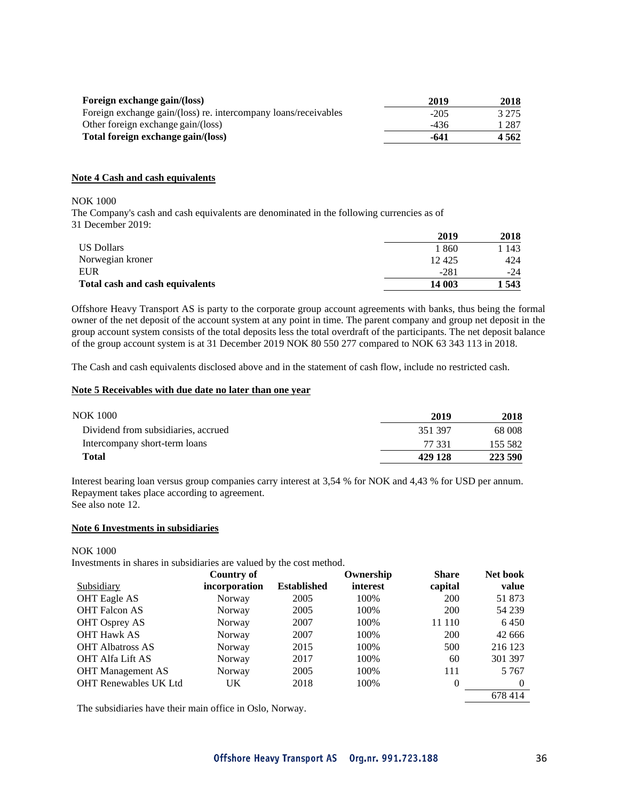| Foreign exchange gain/(loss)                                    | 2019   | 2018    |
|-----------------------------------------------------------------|--------|---------|
| Foreign exchange gain/(loss) re. intercompany loans/receivables | $-205$ | 3 2 7 5 |
| Other foreign exchange gain/(loss)                              | -436   | 1 287   |
| Total foreign exchange gain/(loss)                              | -641   | 4 5 6 2 |

#### **Note 4 Cash and cash equivalents**

NOK 1000

The Company's cash and cash equivalents are denominated in the following currencies as of 31 December 2019:

|                                 | 2019   | 2018  |
|---------------------------------|--------|-------|
| <b>US Dollars</b>               | 1860   | -143  |
| Norwegian kroner                | 12425  | 424   |
| <b>EUR</b>                      | $-281$ | $-24$ |
| Total cash and cash equivalents | 14 003 | 1 543 |

Offshore Heavy Transport AS is party to the corporate group account agreements with banks, thus being the formal owner of the net deposit of the account system at any point in time. The parent company and group net deposit in the group account system consists of the total deposits less the total overdraft of the participants. The net deposit balance of the group account system is at 31 December 2019 NOK 80 550 277 compared to NOK 63 343 113 in 2018.

The Cash and cash equivalents disclosed above and in the statement of cash flow, include no restricted cash.

#### **Note 5 Receivables with due date no later than one year**

| <b>NOK 1000</b>                     | 2019    | 2018    |
|-------------------------------------|---------|---------|
| Dividend from subsidiaries, accrued | 351397  | 68 008  |
| Intercompany short-term loans       | 77 331  | 155 582 |
| Total                               | 429 128 | 223 590 |

Interest bearing loan versus group companies carry interest at 3,54 % for NOK and 4,43 % for USD per annum. Repayment takes place according to agreement. See also note 12.

#### **Note 6 Investments in subsidiaries**

NOK 1000

Investments in shares in subsidiaries are valued by the cost method.

|                              | Country of    |                    | Ownership | <b>Share</b> | Net book |
|------------------------------|---------------|--------------------|-----------|--------------|----------|
| Subsidiary                   | incorporation | <b>Established</b> | interest  | capital      | value    |
| <b>OHT Eagle AS</b>          | Norway        | 2005               | 100%      | <b>200</b>   | 51 873   |
| <b>OHT Falcon AS</b>         | Norway        | 2005               | 100%      | 200          | 54 239   |
| <b>OHT</b> Osprey AS         | Norway        | 2007               | 100%      | 11 110       | 6450     |
| <b>OHT Hawk AS</b>           | Norway        | 2007               | 100%      | 200          | 42 666   |
| <b>OHT Albatross AS</b>      | Norway        | 2015               | 100%      | 500          | 216 123  |
| <b>OHT Alfa Lift AS</b>      | Norway        | 2017               | 100%      | 60           | 301 397  |
| <b>OHT</b> Management AS     | Norway        | 2005               | 100%      | 111          | 5 7 6 7  |
| <b>OHT Renewables UK Ltd</b> | UK            | 2018               | 100%      | $\Omega$     | $\Omega$ |
|                              |               |                    |           |              | 678414   |

The subsidiaries have their main office in Oslo, Norway.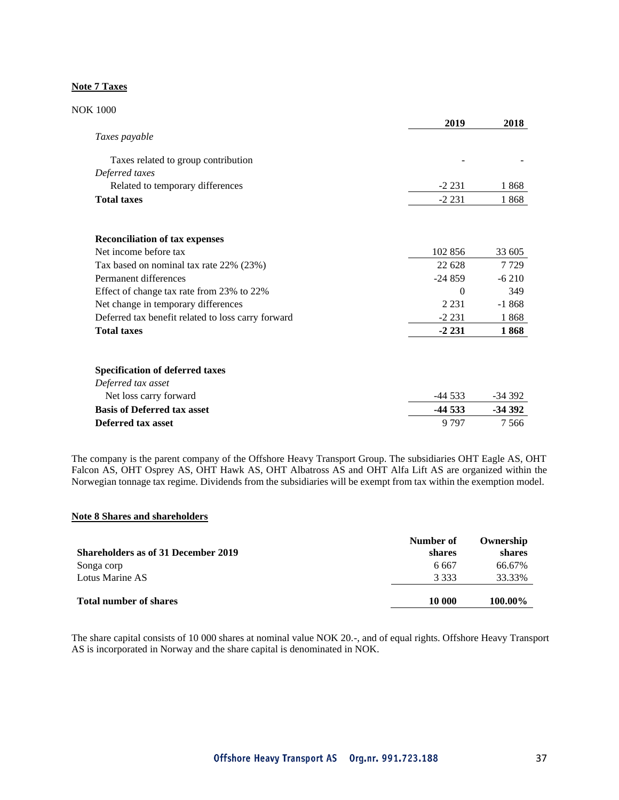#### **Note 7 Taxes**

| <b>NOK 1000</b>                                    |          |          |
|----------------------------------------------------|----------|----------|
|                                                    | 2019     | 2018     |
| Taxes payable                                      |          |          |
| Taxes related to group contribution                |          |          |
| Deferred taxes                                     |          |          |
| Related to temporary differences                   | $-2231$  | 1868     |
| <b>Total taxes</b>                                 | $-2231$  | 1868     |
| <b>Reconciliation of tax expenses</b>              |          |          |
| Net income before tax                              | 102 856  | 33 605   |
| Tax based on nominal tax rate 22% (23%)            | 22 628   | 7729     |
| Permanent differences                              | $-24859$ | $-6210$  |
| Effect of change tax rate from 23% to 22%          | $\theta$ | 349      |
| Net change in temporary differences                | 2 2 3 1  | $-1868$  |
| Deferred tax benefit related to loss carry forward | $-2231$  | 1868     |
| <b>Total taxes</b>                                 | $-2231$  | 1868     |
| <b>Specification of deferred taxes</b>             |          |          |
| Deferred tax asset                                 |          |          |
| Net loss carry forward                             | -44 533  | -34 392  |
| <b>Basis of Deferred tax asset</b>                 | $-44533$ | $-34392$ |
| Deferred tax asset                                 | 9797     | 7566     |

The company is the parent company of the Offshore Heavy Transport Group. The subsidiaries OHT Eagle AS, OHT Falcon AS, OHT Osprey AS, OHT Hawk AS, OHT Albatross AS and OHT Alfa Lift AS are organized within the Norwegian tonnage tax regime. Dividends from the subsidiaries will be exempt from tax within the exemption model.

### **Note 8 Shares and shareholders**

| <b>Shareholders as of 31 December 2019</b> | Number of<br>shares | Ownership<br>shares |
|--------------------------------------------|---------------------|---------------------|
| Songa corp                                 | 6 6 6 7             | 66.67%              |
| Lotus Marine AS                            | 3 3 3 3             | 33.33%              |
| <b>Total number of shares</b>              | 10 000              | 100.00%             |

The share capital consists of 10 000 shares at nominal value NOK 20.-, and of equal rights. Offshore Heavy Transport AS is incorporated in Norway and the share capital is denominated in NOK.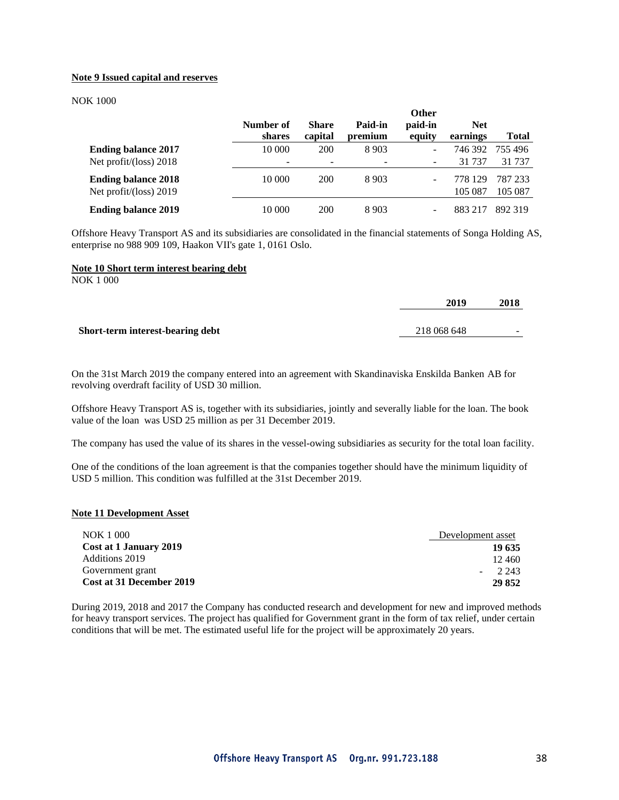#### **Note 9 Issued capital and reserves**

#### NOK 1000

|                                                      | Number of<br>shares | <b>Share</b><br>capital | Paid-in<br>premium | <b>Other</b><br>paid-in<br>equity | <b>Net</b><br>earnings | Total             |
|------------------------------------------------------|---------------------|-------------------------|--------------------|-----------------------------------|------------------------|-------------------|
| <b>Ending balance 2017</b><br>Net profit/(loss) 2018 | 10 000              | 200                     | 8 9 0 3            | ۰<br>-                            | 746 392<br>31 7 37     | 755 496<br>31 737 |
| <b>Ending balance 2018</b>                           | 10 000              | <b>200</b>              | 8 9 0 3            |                                   | 778 129                | 787 233           |
| Net profit/(loss) 2019                               |                     |                         |                    |                                   | 105 087                | 105 087           |
| <b>Ending balance 2019</b>                           | 10 000              | 200                     | 8 9 0 3            |                                   | 8832                   | 892.319           |

Offshore Heavy Transport AS and its subsidiaries are consolidated in the financial statements of Songa Holding AS, enterprise no 988 909 109, Haakon VII's gate 1, 0161 Oslo.

#### **Note 10 Short term interest bearing debt**

NOK 1 000

|                                  | 2019        | 2018   |
|----------------------------------|-------------|--------|
|                                  |             |        |
| Short-term interest-bearing debt | 218 068 648 | $\sim$ |
|                                  |             |        |

On the 31st March 2019 the company entered into an agreement with Skandinaviska Enskilda Banken AB for revolving overdraft facility of USD 30 million.

Offshore Heavy Transport AS is, together with its subsidiaries, jointly and severally liable for the loan. The book value of the loan was USD 25 million as per 31 December 2019.

The company has used the value of its shares in the vessel-owing subsidiaries as security for the total loan facility.

One of the conditions of the loan agreement is that the companies together should have the minimum liquidity of USD 5 million. This condition was fulfilled at the 31st December 2019.

#### **Note 11 Development Asset**

| <b>NOK 1 000</b>                | Development asset |
|---------------------------------|-------------------|
| Cost at 1 January 2019          | 19 635            |
| Additions 2019                  | 12.460            |
| Government grant                | 2.243             |
| <b>Cost at 31 December 2019</b> | 29 852            |

During 2019, 2018 and 2017 the Company has conducted research and development for new and improved methods for heavy transport services. The project has qualified for Government grant in the form of tax relief, under certain conditions that will be met. The estimated useful life for the project will be approximately 20 years.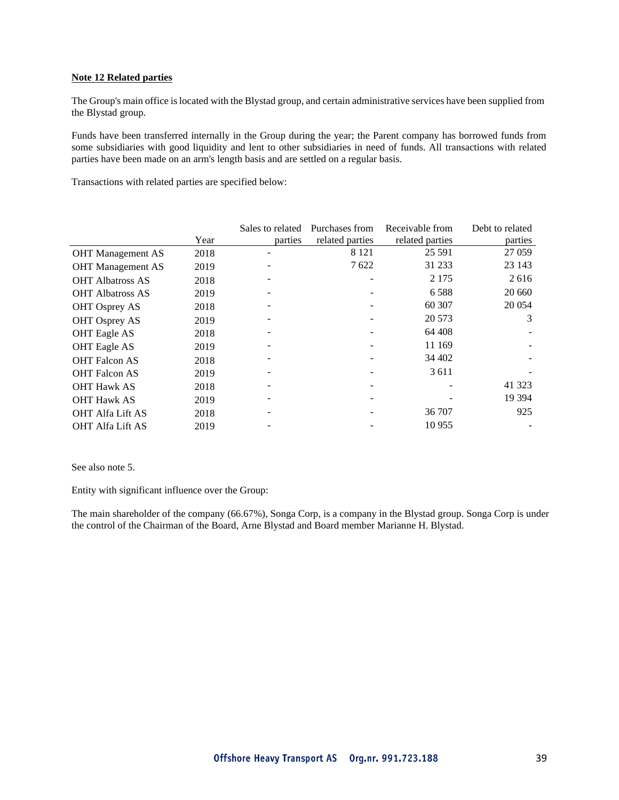#### **Note 12 Related parties**

The Group's main office islocated with the Blystad group, and certain administrative services have been supplied from the Blystad group.

Funds have been transferred internally in the Group during the year; the Parent company has borrowed funds from some subsidiaries with good liquidity and lent to other subsidiaries in need of funds. All transactions with related parties have been made on an arm's length basis and are settled on a regular basis.

Transactions with related parties are specified below:

|                          |      | Sales to related | Purchases from  | Receivable from | Debt to related |
|--------------------------|------|------------------|-----------------|-----------------|-----------------|
|                          | Year | parties          | related parties | related parties | parties         |
| <b>OHT</b> Management AS | 2018 |                  | 8 1 2 1         | 25 5 91         | 27 059          |
| <b>OHT</b> Management AS | 2019 |                  | 7622            | 31 233          | 23 143          |
| <b>OHT</b> Albatross AS  | 2018 |                  |                 | 2 1 7 5         | 2616            |
| <b>OHT Albatross AS</b>  | 2019 |                  |                 | 6 5 8 8         | 20 660          |
| OHT Osprey AS            | 2018 |                  |                 | 60 30 7         | 20 054          |
| <b>OHT Osprey AS</b>     | 2019 |                  |                 | 20 573          | 3               |
| <b>OHT</b> Eagle AS      | 2018 |                  |                 | 64 408          |                 |
| <b>OHT</b> Eagle AS      | 2019 |                  |                 | 11 169          |                 |
| <b>OHT Falcon AS</b>     | 2018 |                  |                 | 34 402          |                 |
| <b>OHT Falcon AS</b>     | 2019 |                  |                 | 3 6 1 1         |                 |
| <b>OHT Hawk AS</b>       | 2018 |                  |                 |                 | 41 3 23         |
| <b>OHT Hawk AS</b>       | 2019 |                  |                 |                 | 19 3 94         |
| <b>OHT Alfa Lift AS</b>  | 2018 |                  |                 | 36 707          | 925             |
| <b>OHT Alfa Lift AS</b>  | 2019 |                  |                 | 10 955          |                 |

See also note 5.

Entity with significant influence over the Group:

The main shareholder of the company (66.67%), Songa Corp, is a company in the Blystad group. Songa Corp is under the control of the Chairman of the Board, Arne Blystad and Board member Marianne H. Blystad.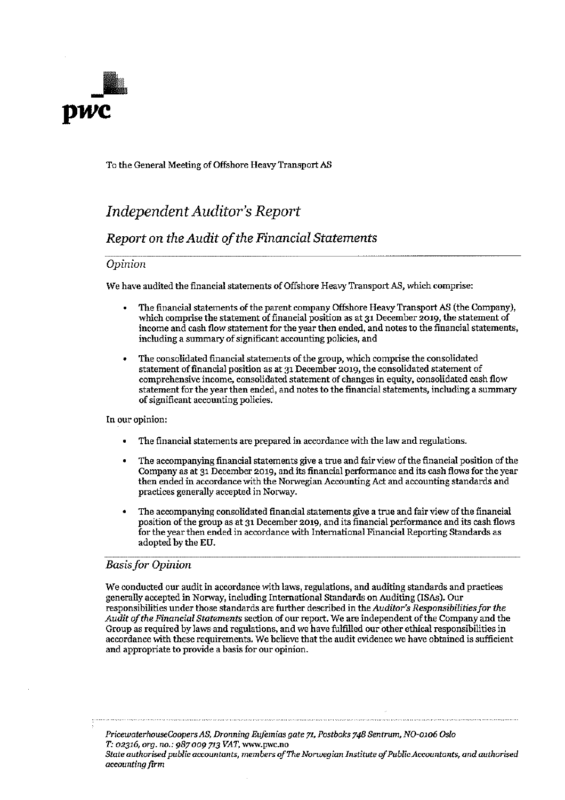

To the General Meeting of Offshore Heavy Transport AS

## **Independent Auditor's Report**

### Report on the Audit of the Financial Statements

### Opinion

We have audited the financial statements of Offshore Heavy Transport AS, which comprise:

- The financial statements of the parent company Offshore Heavy Transport AS (the Company), which comprise the statement of financial position as at 31 December 2019, the statement of income and cash flow statement for the year then ended, and notes to the financial statements, including a summary of significant accounting policies, and
- The consolidated financial statements of the group, which comprise the consolidated statement of financial position as at 31 December 2019, the consolidated statement of comprehensive income, consolidated statement of changes in equity, consolidated cash flow statement for the year then ended, and notes to the financial statements, including a summary of significant accounting policies.

In our opinion:

- The financial statements are prepared in accordance with the law and regulations.
- The accompanying financial statements give a true and fair view of the financial position of the Company as at 31 December 2019, and its financial performance and its cash flows for the year then ended in accordance with the Norwegian Accounting Act and accounting standards and practices generally accepted in Norway.
- The accompanying consolidated financial statements give a true and fair view of the financial position of the group as at 31 December 2019, and its financial performance and its cash flows for the year then ended in accordance with International Financial Reporting Standards as adopted by the EU.

### **Basis for Opinion**

We conducted our audit in accordance with laws, regulations, and auditing standards and practices generally accepted in Norway, including International Standards on Auditing (ISAs). Our responsibilities under those standards are further described in the Auditor's Responsibilities for the Audit of the Financial Statements section of our report. We are independent of the Company and the Group as required by laws and regulations, and we have fulfilled our other ethical responsibilities in accordance with these requirements. We believe that the audit evidence we have obtained is sufficient and appropriate to provide a basis for our opinion.

PricewaterhouseCoopers AS, Dronning Eufemias gate 71, Postboks 748 Sentrum, NO-0106 Oslo T: 02316, org. no.: 987 009 713 VAT, www.pwc.no State authorised public accountants, members of The Norwegian Institute of Public Accountants, and authorised accounting firm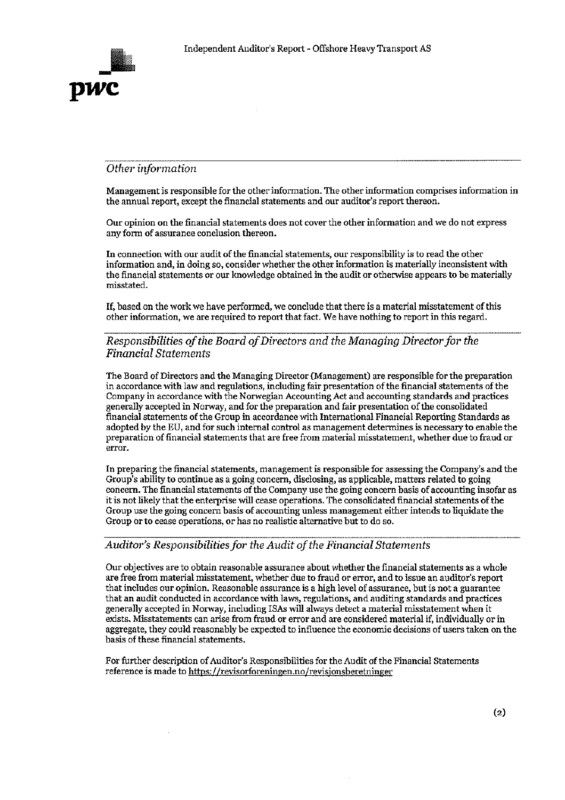

### Other information

Management is responsible for the other information. The other information comprises information in the annual report, except the financial statements and our auditor's report thereon.

Our opinion on the financial statements does not cover the other information and we do not express any form of assurance conclusion thereon.

In connection with our audit of the financial statements, our responsibility is to read the other information and, in doing so, consider whether the other information is materially inconsistent with the financial statements or our knowledge obtained in the audit or otherwise appears to be materially misstated.

If, based on the work we have performed, we conclude that there is a material misstatement of this other information, we are required to report that fact. We have nothing to report in this regard.

### Responsibilities of the Board of Directors and the Managing Director for the **Financial Statements**

The Board of Directors and the Managing Director (Management) are responsible for the preparation in accordance with law and regulations, including fair presentation of the financial statements of the Company in accordance with the Norwegian Accounting Act and accounting standards and practices generally accepted in Norway, and for the preparation and fair presentation of the consolidated financial statements of the Group in accordance with International Financial Reporting Standards as adopted by the EU, and for such internal control as management determines is necessary to enable the preparation of financial statements that are free from material misstatement, whether due to fraud or error.

In preparing the financial statements, management is responsible for assessing the Company's and the Group's ability to continue as a going concern, disclosing, as applicable, matters related to going concern. The financial statements of the Company use the going concern basis of accounting insofar as it is not likely that the enterprise will cease operations. The consolidated financial statements of the Group use the going concern basis of accounting unless management either intends to liquidate the Group or to cease operations, or has no realistic alternative but to do so.

### Auditor's Responsibilities for the Audit of the Financial Statements

Our objectives are to obtain reasonable assurance about whether the financial statements as a whole are free from material misstatement, whether due to fraud or error, and to issue an auditor's report that includes our opinion. Reasonable assurance is a high level of assurance, but is not a guarantee that an audit conducted in accordance with laws, regulations, and auditing standards and practices generally accepted in Norway, including ISAs will always detect a material misstatement when it exists. Misstatements can arise from fraud or error and are considered material if, individually or in aggregate, they could reasonably be expected to influence the economic decisions of users taken on the basis of these financial statements.

For further description of Auditor's Responsibilities for the Audit of the Financial Statements reference is made to https://revisorforeningen.no/revisjonsberetninger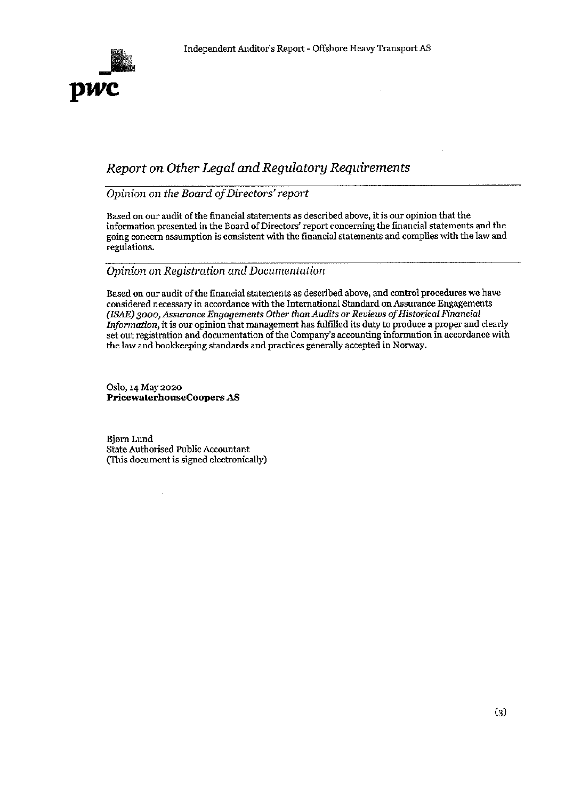

## Report on Other Legal and Regulatory Requirements

Opinion on the Board of Directors' report

Based on our audit of the financial statements as described above, it is our opinion that the information presented in the Board of Directors' report concerning the financial statements and the going concern assumption is consistent with the financial statements and complies with the law and regulations.

### Opinion on Registration and Documentation

Based on our audit of the financial statements as described above, and control procedures we have considered necessary in accordance with the International Standard on Assurance Engagements (ISAE) 3000, Assurance Engagements Other than Audits or Reviews of Historical Financial Information, it is our opinion that management has fulfilled its duty to produce a proper and clearly set out registration and documentation of the Company's accounting information in accordance with the law and bookkeeping standards and practices generally accepted in Norway.

Oslo, 14 May 2020 **PricewaterhouseCoopers AS** 

Bjørn Lund State Authorised Public Accountant (This document is signed electronically)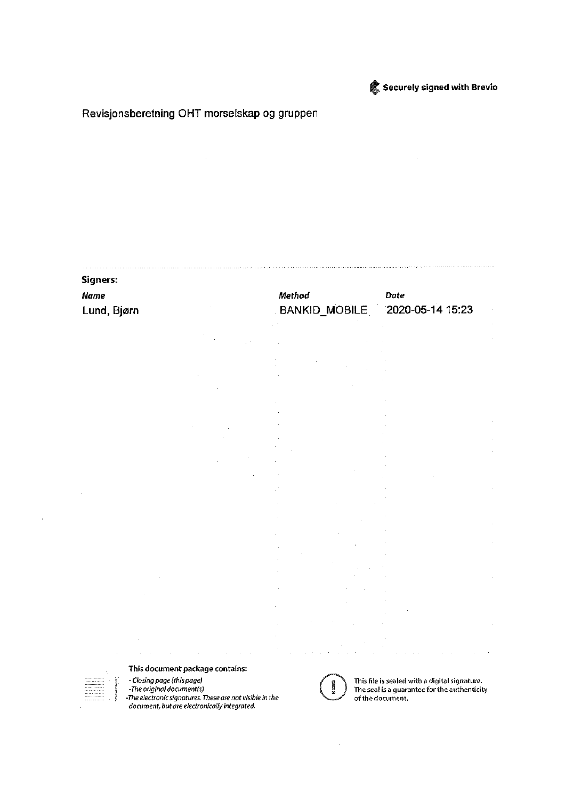

### Securely signed with Brevio

### Revisjonsberetning OHT morselskap og gruppen

# **Signers: Name** Method **Date** 2020-05-14 15:23 Lund, Bjørn **BANKID\_MOBILE**  $\bar{z}$  $\mathcal{A}$ This document package contains: - Closing page (this page) This file is sealed with a digital signature.

-The original document(s) The electronic signatures. These are not visible in the<br>-The electronic signatures. These are not visible in the<br>document, but are electronically integrated.



The seal is a guarantee for the authenticity of the document.